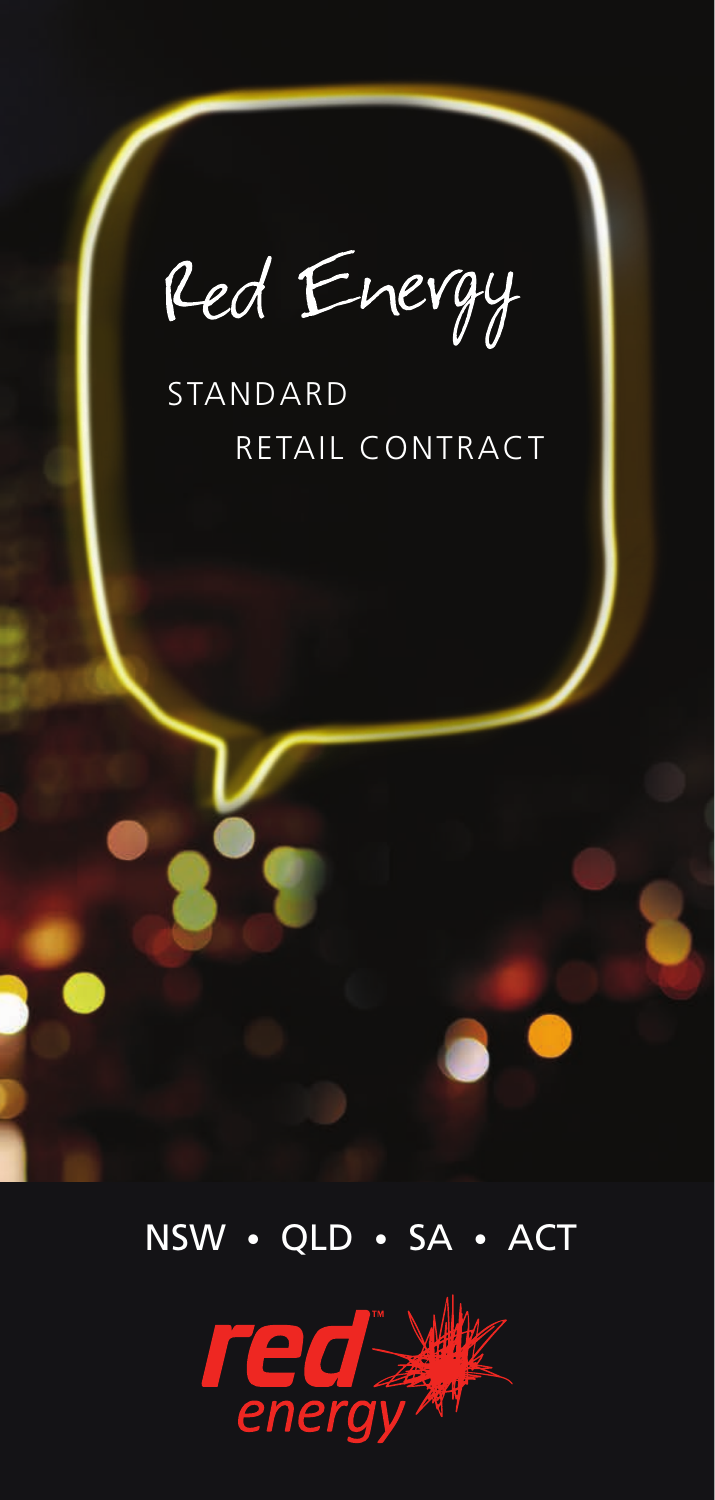Red Energy

## STANDARD RETAIL CONTRACT



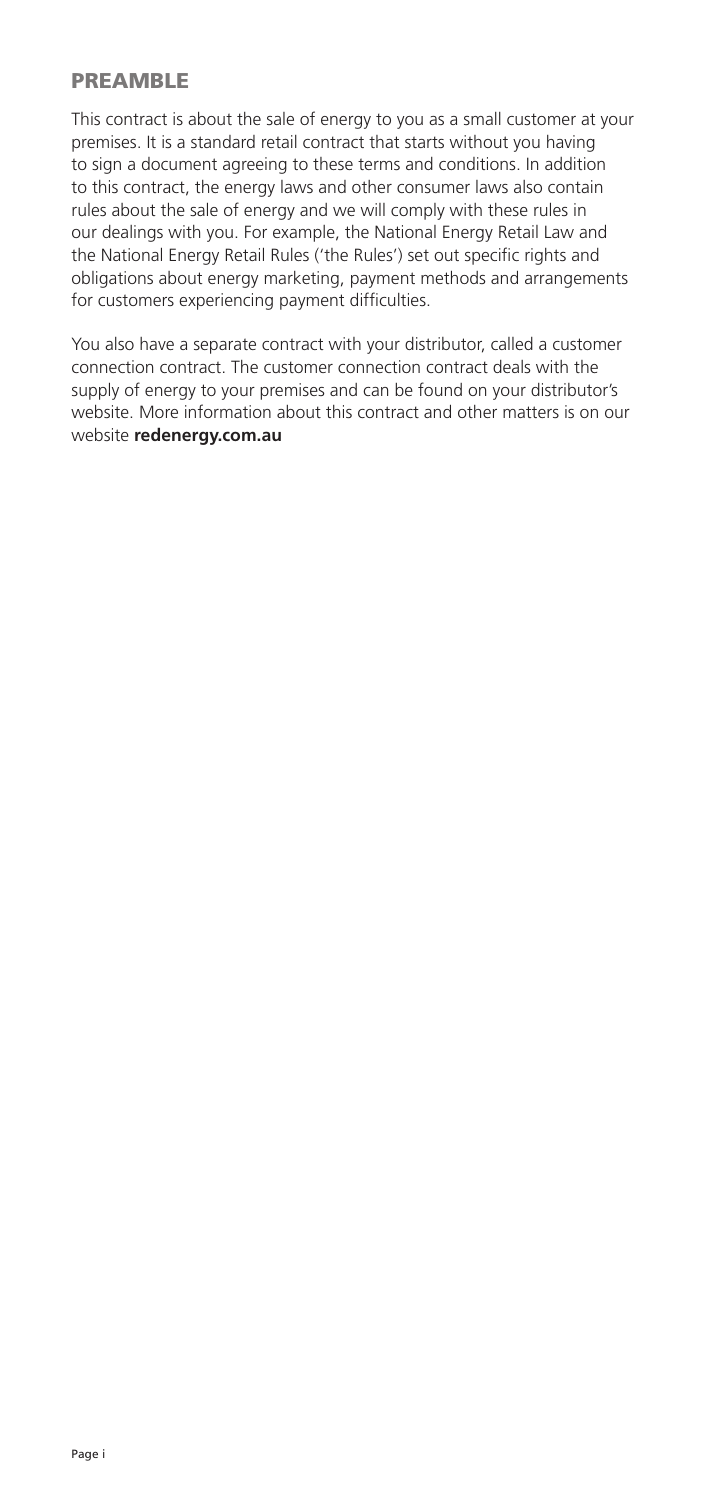### PREAMBLE

This contract is about the sale of energy to you as a small customer at your premises. It is a standard retail contract that starts without you having to sign a document agreeing to these terms and conditions. In addition to this contract, the energy laws and other consumer laws also contain rules about the sale of energy and we will comply with these rules in our dealings with you. For example, the National Energy Retail Law and the National Energy Retail Rules ('the Rules') set out specific rights and obligations about energy marketing, payment methods and arrangements for customers experiencing payment difficulties.

You also have a separate contract with your distributor, called a customer connection contract. The customer connection contract deals with the supply of energy to your premises and can be found on your distributor's website. More information about this contract and other matters is on our website **redenergy.com.au**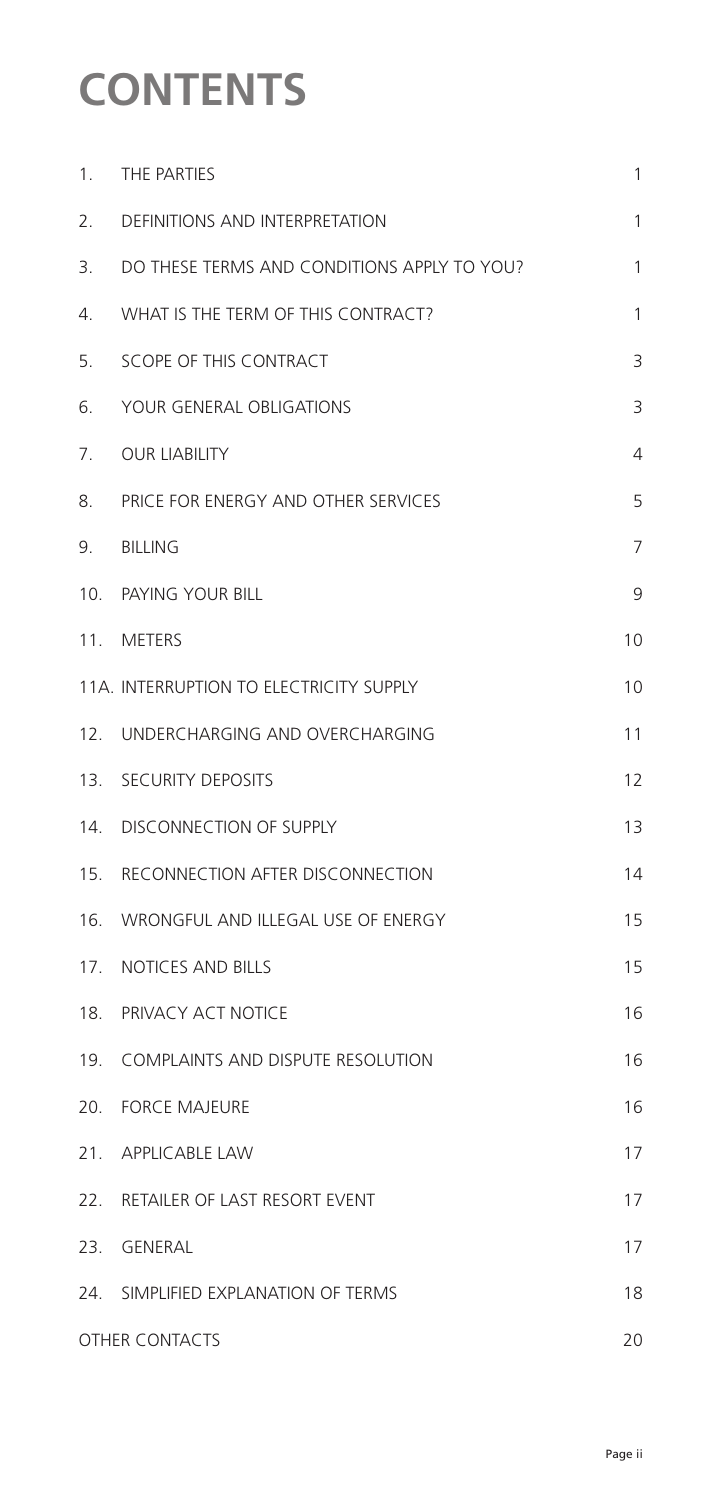# **CONTENTS**

| 1.                    | THE PARTIES                                 | 1  |
|-----------------------|---------------------------------------------|----|
| 2.                    | DEFINITIONS AND INTERPRETATION              | 1  |
| 3.                    | DO THESE TERMS AND CONDITIONS APPLY TO YOU? | 1  |
| 4.                    | WHAT IS THE TERM OF THIS CONTRACT?          | 1  |
| 5.                    | SCOPE OF THIS CONTRACT                      | 3  |
| 6.                    | YOUR GENERAL OBLIGATIONS                    | 3  |
| 7.                    | <b>OUR LIABILITY</b>                        | 4  |
| 8.                    | PRICE FOR ENERGY AND OTHER SERVICES         | 5  |
| 9.                    | <b>BILLING</b>                              | 7  |
|                       | 10. PAYING YOUR BILL                        | 9  |
|                       | 11. METERS                                  | 10 |
|                       | 11A. INTERRUPTION TO ELECTRICITY SUPPLY     | 10 |
|                       | 12. UNDERCHARGING AND OVERCHARGING          | 11 |
|                       | 13. SECURITY DEPOSITS                       | 12 |
|                       | 14. DISCONNECTION OF SUPPLY                 | 13 |
|                       | 15. RECONNECTION AFTER DISCONNECTION        | 14 |
|                       | 16. WRONGFUL AND ILLEGAL USE OF ENERGY      | 15 |
|                       | 17. NOTICES AND BILLS                       | 15 |
| 18.                   | PRIVACY ACT NOTICE                          | 16 |
|                       | 19. COMPLAINTS AND DISPUTE RESOLUTION       | 16 |
|                       | 20. FORCE MAJEURE                           | 16 |
|                       | 21. APPLICABLE LAW                          | 17 |
|                       | 22. RETAILER OF LAST RESORT EVENT           | 17 |
|                       | 23. GENERAL                                 | 17 |
|                       | 24. SIMPLIFIED EXPLANATION OF TERMS         | 18 |
| <b>OTHER CONTACTS</b> |                                             | 20 |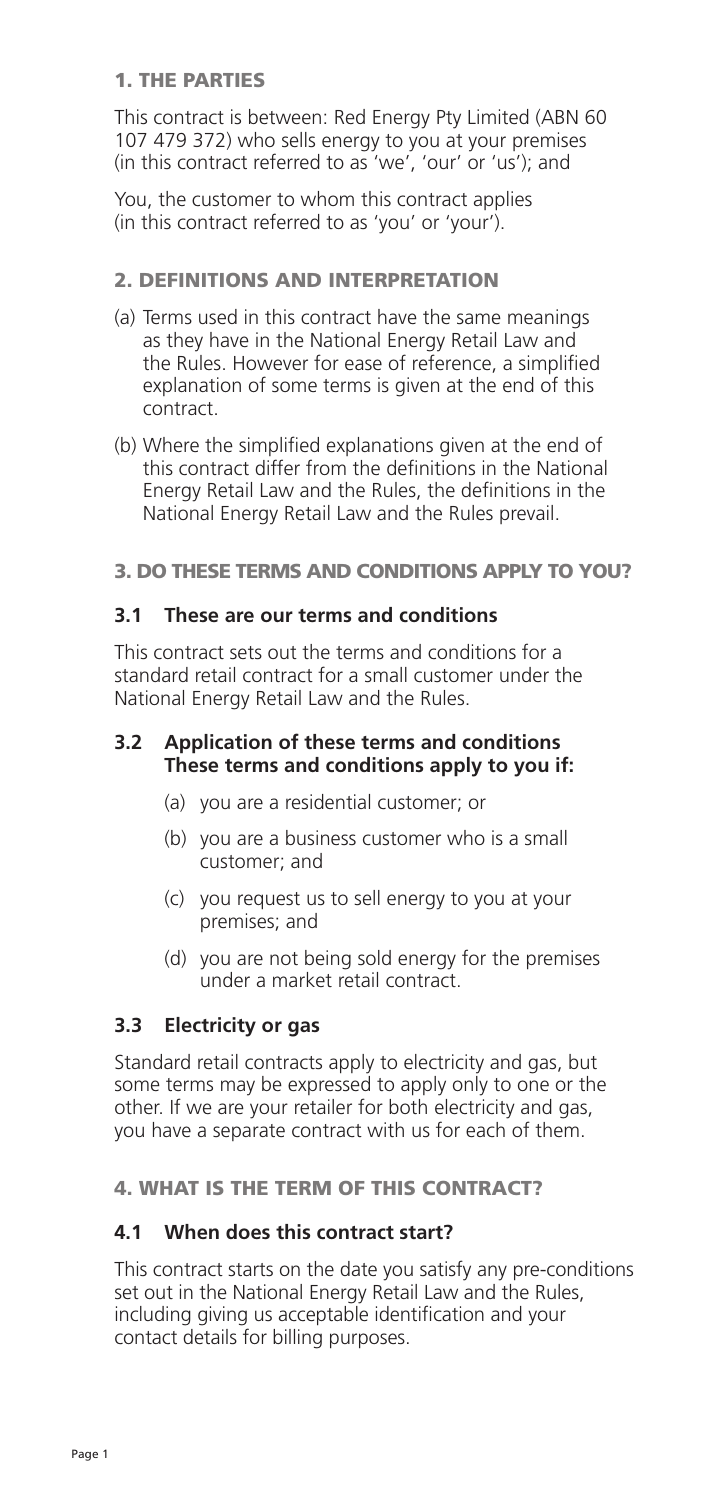## 1. THE PARTIES

 This contract is between: Red Energy Pty Limited (ABN 60 107 479 372) who sells energy to you at your premises (in this contract referred to as 'we', 'our' or 'us'); and

 You, the customer to whom this contract applies (in this contract referred to as 'you' or 'your').

## 2. DEFINITIONS AND INTERPRETATION

- (a) Terms used in this contract have the same meanings as they have in the National Energy Retail Law and the Rules. However for ease of reference, a simplified explanation of some terms is given at the end of this contract.
- (b) Where the simplified explanations given at the end of this contract differ from the definitions in the National Energy Retail Law and the Rules, the definitions in the National Energy Retail Law and the Rules prevail.

### 3. DO THESE TERMS AND CONDITIONS APPLY TO YOU?

### **3.1 These are our terms and conditions**

 This contract sets out the terms and conditions for a standard retail contract for a small customer under the National Energy Retail Law and the Rules.

#### **3.2 Application of these terms and conditions These terms and conditions apply to you if:**

- (a) you are a residential customer; or
- (b) you are a business customer who is a small customer; and
- (c) you request us to sell energy to you at your premises; and
- (d) you are not being sold energy for the premises under a market retail contract.

## **3.3 Electricity or gas**

 Standard retail contracts apply to electricity and gas, but some terms may be expressed to apply only to one or the other. If we are your retailer for both electricity and gas, you have a separate contract with us for each of them.

## 4. WHAT IS THE TERM OF THIS CONTRACT?

## **4.1 When does this contract start?**

 This contract starts on the date you satisfy any pre-conditions set out in the National Energy Retail Law and the Rules, including giving us acceptable identification and your contact details for billing purposes.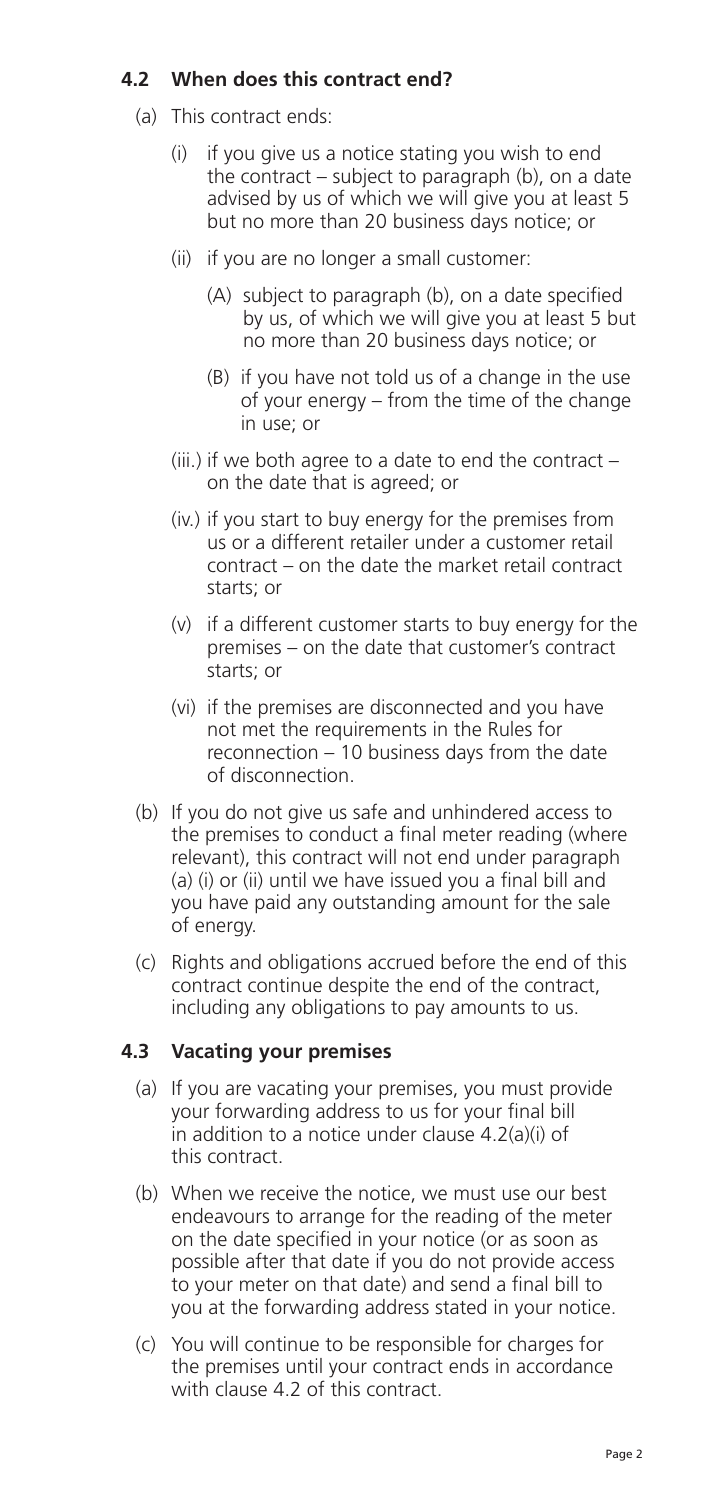## **4.2 When does this contract end?**

- (a) This contract ends:
	- (i) if you give us a notice stating you wish to end the contract – subject to paragraph (b), on a date advised by us of which we will give you at least 5 but no more than 20 business days notice; or
	- (ii) if you are no longer a small customer:
		- (A) subject to paragraph (b), on a date specified by us, of which we will give you at least 5 but no more than 20 business days notice; or
		- (B) if you have not told us of a change in the use of your energy – from the time of the change in use; or
	- (iii.) if we both agree to a date to end the contract on the date that is agreed; or
	- (iv.) if you start to buy energy for the premises from us or a different retailer under a customer retail contract – on the date the market retail contract starts; or
	- (v) if a different customer starts to buy energy for the premises – on the date that customer's contract starts; or
	- (vi) if the premises are disconnected and you have not met the requirements in the Rules for reconnection – 10 business days from the date of disconnection.
- (b) If you do not give us safe and unhindered access to the premises to conduct a final meter reading (where relevant), this contract will not end under paragraph (a) (i) or (ii) until we have issued you a final bill and you have paid any outstanding amount for the sale of energy.
- (c) Rights and obligations accrued before the end of this contract continue despite the end of the contract, including any obligations to pay amounts to us.

## **4.3 Vacating your premises**

- (a) If you are vacating your premises, you must provide your forwarding address to us for your final bill in addition to a notice under clause 4.2(a)(i) of this contract.
- (b) When we receive the notice, we must use our best endeavours to arrange for the reading of the meter on the date specified in your notice (or as soon as possible after that date if you do not provide access to your meter on that date) and send a final bill to you at the forwarding address stated in your notice.
- (c) You will continue to be responsible for charges for the premises until your contract ends in accordance with clause 4.2 of this contract.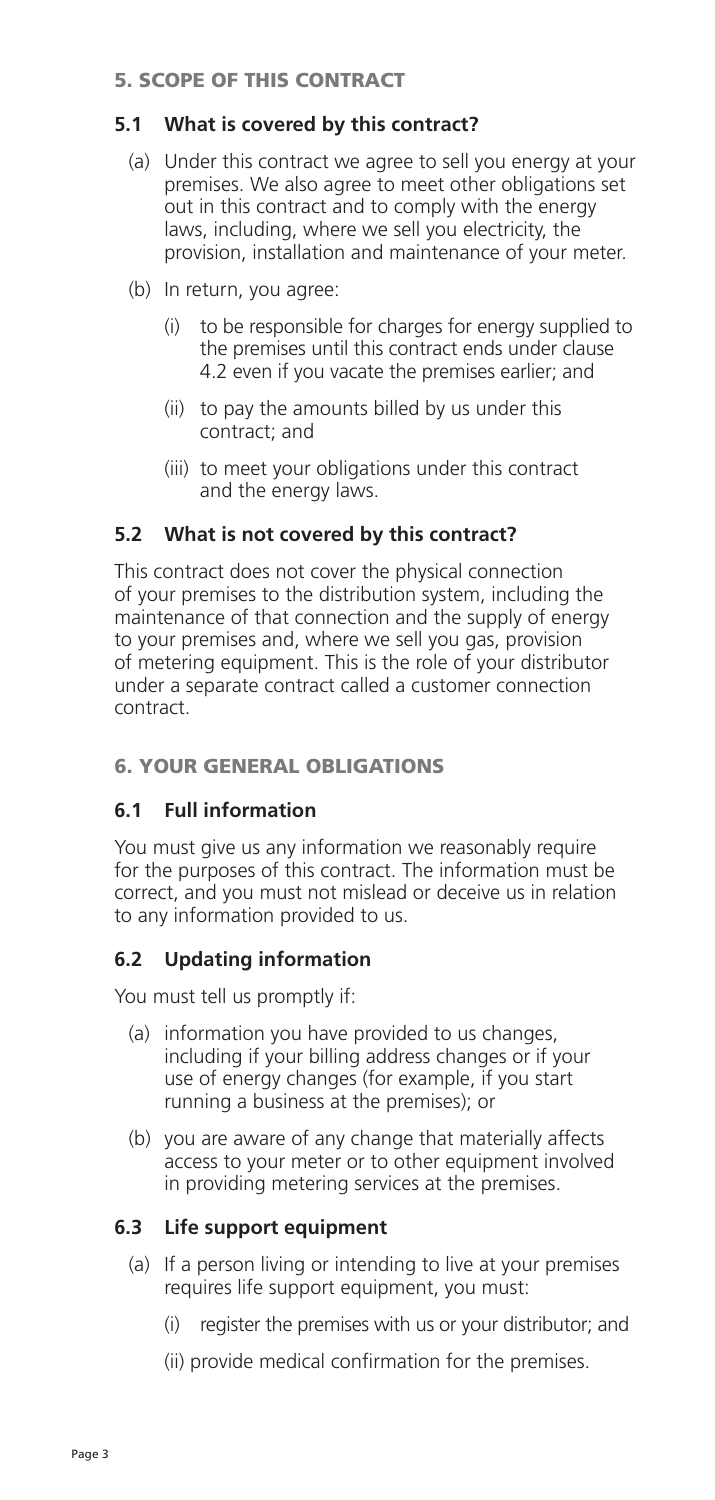## 5. SCOPE OF THIS CONTRACT

## **5.1 What is covered by this contract?**

- (a) Under this contract we agree to sell you energy at your premises. We also agree to meet other obligations set out in this contract and to comply with the energy laws, including, where we sell you electricity, the provision, installation and maintenance of your meter.
- (b) In return, you agree:
	- (i) to be responsible for charges for energy supplied to the premises until this contract ends under clause 4.2 even if you vacate the premises earlier; and
	- (ii) to pay the amounts billed by us under this contract; and
	- (iii) to meet your obligations under this contract and the energy laws.

## **5.2 What is not covered by this contract?**

 This contract does not cover the physical connection of your premises to the distribution system, including the maintenance of that connection and the supply of energy to your premises and, where we sell you gas, provision of metering equipment. This is the role of your distributor under a separate contract called a customer connection contract.

## 6. YOUR GENERAL OBLIGATIONS

## **6.1 Full information**

 You must give us any information we reasonably require for the purposes of this contract. The information must be correct, and you must not mislead or deceive us in relation to any information provided to us.

## **6.2 Updating information**

You must tell us promptly if:

- (a) information you have provided to us changes, including if your billing address changes or if your use of energy changes (for example, if you start running a business at the premises); or
- (b) you are aware of any change that materially affects access to your meter or to other equipment involved in providing metering services at the premises.

## **6.3 Life support equipment**

- (a) If a person living or intending to live at your premises requires life support equipment, you must:
	- (i) register the premises with us or your distributor; and
	- (ii) provide medical confirmation for the premises.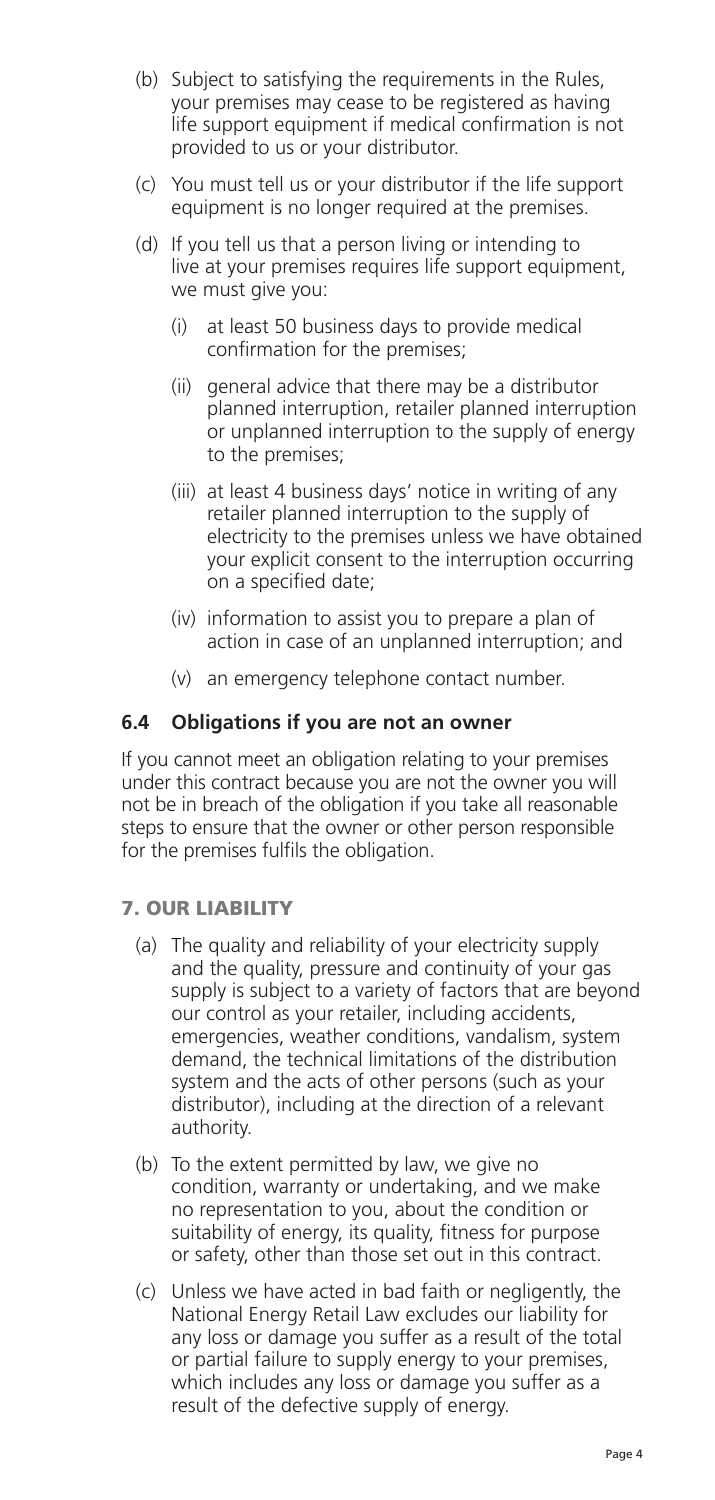- (b) Subject to satisfying the requirements in the Rules, your premises may cease to be registered as having life support equipment if medical confirmation is not provided to us or your distributor.
- (c) You must tell us or your distributor if the life support equipment is no longer required at the premises.
- (d) If you tell us that a person living or intending to live at your premises requires life support equipment, we must give you:
	- (i) at least 50 business days to provide medical confirmation for the premises;
	- (ii) general advice that there may be a distributor planned interruption, retailer planned interruption or unplanned interruption to the supply of energy to the premises;
	- (iii) at least 4 business days' notice in writing of any retailer planned interruption to the supply of electricity to the premises unless we have obtained your explicit consent to the interruption occurring on a specified date;
	- (iv) information to assist you to prepare a plan of action in case of an unplanned interruption; and
	- (v) an emergency telephone contact number.

### **6.4 Obligations if you are not an owner**

 If you cannot meet an obligation relating to your premises under this contract because you are not the owner you will not be in breach of the obligation if you take all reasonable steps to ensure that the owner or other person responsible for the premises fulfils the obligation.

#### 7. OUR LIABILITY

- (a) The quality and reliability of your electricity supply and the quality, pressure and continuity of your gas supply is subject to a variety of factors that are beyond our control as your retailer, including accidents, emergencies, weather conditions, vandalism, system demand, the technical limitations of the distribution system and the acts of other persons (such as your distributor), including at the direction of a relevant authority.
- (b) To the extent permitted by law, we give no condition, warranty or undertaking, and we make no representation to you, about the condition or suitability of energy, its quality, fitness for purpose or safety, other than those set out in this contract.
- (c) Unless we have acted in bad faith or negligently, the National Energy Retail Law excludes our liability for any loss or damage you suffer as a result of the total or partial failure to supply energy to your premises, which includes any loss or damage you suffer as a result of the defective supply of energy.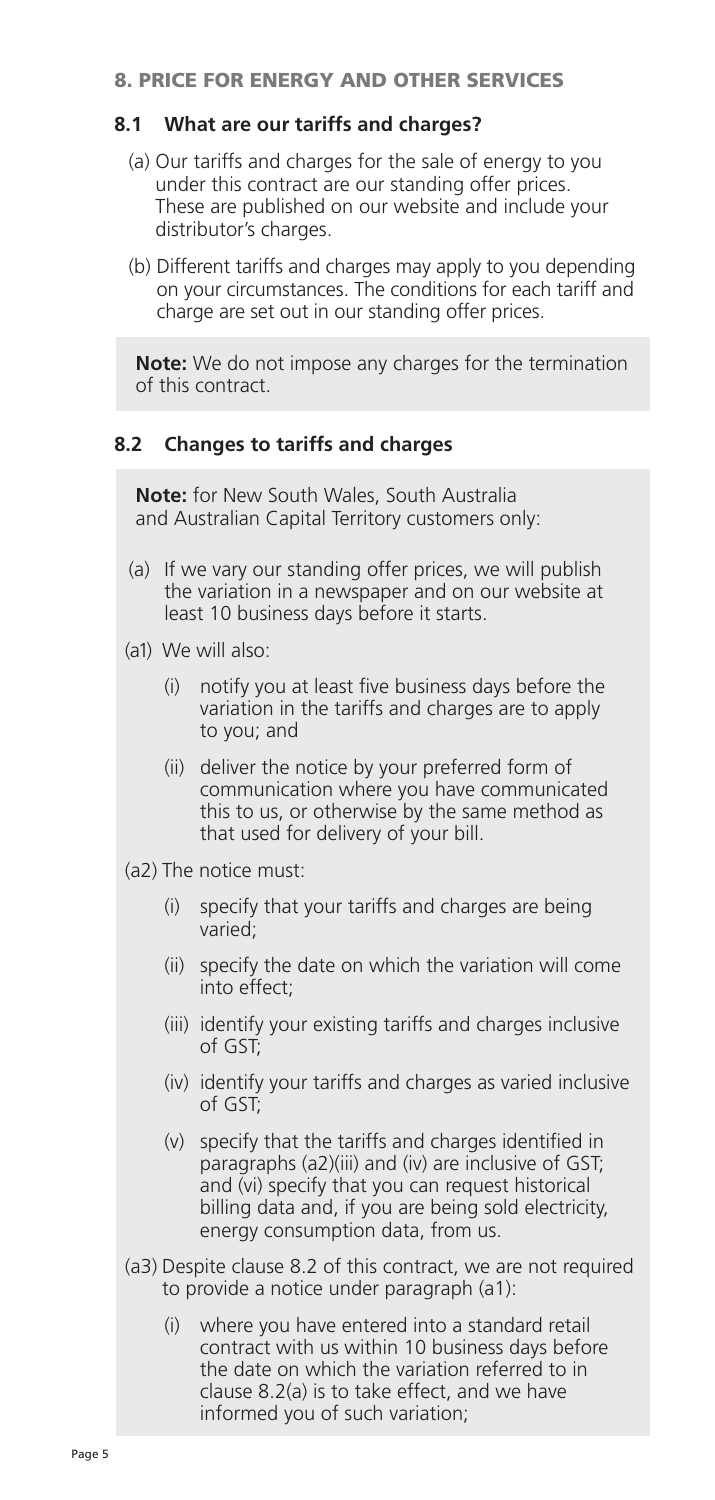#### 8. PRICE FOR ENERGY AND OTHER SERVICES

### **8.1 What are our tariffs and charges?**

- (a) Our tariffs and charges for the sale of energy to you under this contract are our standing offer prices. These are published on our website and include your distributor's charges.
- (b) Different tariffs and charges may apply to you depending on your circumstances. The conditions for each tariff and charge are set out in our standing offer prices.

**Note:** We do not impose any charges for the termination of this contract.

### **8.2 Changes to tariffs and charges**

**Note:** for New South Wales, South Australia and Australian Capital Territory customers only:

- (a) If we vary our standing offer prices, we will publish the variation in a newspaper and on our website at least 10 business days before it starts.
- (a1) We will also:
	- (i) notify you at least five business days before the variation in the tariffs and charges are to apply to you; and
	- (ii) deliver the notice by your preferred form of communication where you have communicated this to us, or otherwise by the same method as that used for delivery of your bill.
- (a2) The notice must:
	- (i) specify that your tariffs and charges are being varied;
	- (ii) specify the date on which the variation will come into effect;
	- (iii) identify your existing tariffs and charges inclusive of GST;
	- (iv) identify your tariffs and charges as varied inclusive of GST;
	- (v) specify that the tariffs and charges identified in paragraphs (a2)(iii) and (iv) are inclusive of GST; and (vi) specify that you can request historical billing data and, if you are being sold electricity, energy consumption data, from us.
- (a3) Despite clause 8.2 of this contract, we are not required to provide a notice under paragraph (a1):
	- (i) where you have entered into a standard retail contract with us within 10 business days before the date on which the variation referred to in clause 8.2(a) is to take effect, and we have informed you of such variation;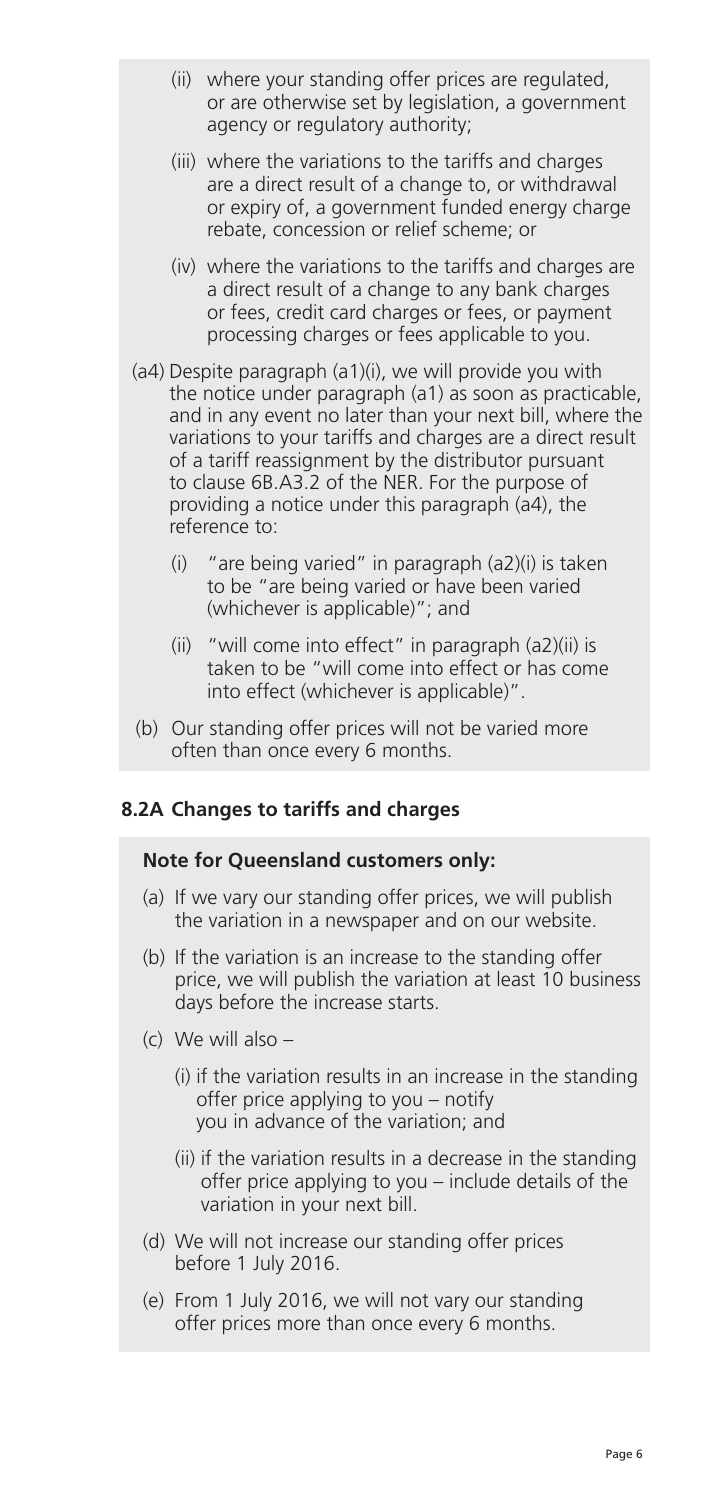- (ii) where your standing offer prices are regulated, or are otherwise set by legislation, a government agency or regulatory authority;
- (iii) where the variations to the tariffs and charges are a direct result of a change to, or withdrawal or expiry of, a government funded energy charge rebate, concession or relief scheme; or
- (iv) where the variations to the tariffs and charges are a direct result of a change to any bank charges or fees, credit card charges or fees, or payment processing charges or fees applicable to you.
- (a4) Despite paragraph (a1)(i), we will provide you with the notice under paragraph (a1) as soon as practicable, and in any event no later than your next bill, where the variations to your tariffs and charges are a direct result of a tariff reassignment by the distributor pursuant to clause 6B.A3.2 of the NER. For the purpose of providing a notice under this paragraph (a4), the reference to:
	- (i) "are being varied" in paragraph (a2)(i) is taken to be "are being varied or have been varied (whichever is applicable)"; and
	- (ii) "will come into effect" in paragraph (a2)(ii) is taken to be "will come into effect or has come into effect (whichever is applicable)".
- (b) Our standing offer prices will not be varied more often than once every 6 months.

## **8.2A Changes to tariffs and charges**

#### **Note for Queensland customers only:**

- (a) If we vary our standing offer prices, we will publish the variation in a newspaper and on our website.
- (b) If the variation is an increase to the standing offer price, we will publish the variation at least 10 business days before the increase starts.
- (c) We will also
	- (i) if the variation results in an increase in the standing offer price applying to you – notify you in advance of the variation; and
	- (ii) if the variation results in a decrease in the standing offer price applying to you – include details of the variation in your next bill.
- (d) We will not increase our standing offer prices before 1 July 2016.
- (e) From 1 July 2016, we will not vary our standing offer prices more than once every 6 months.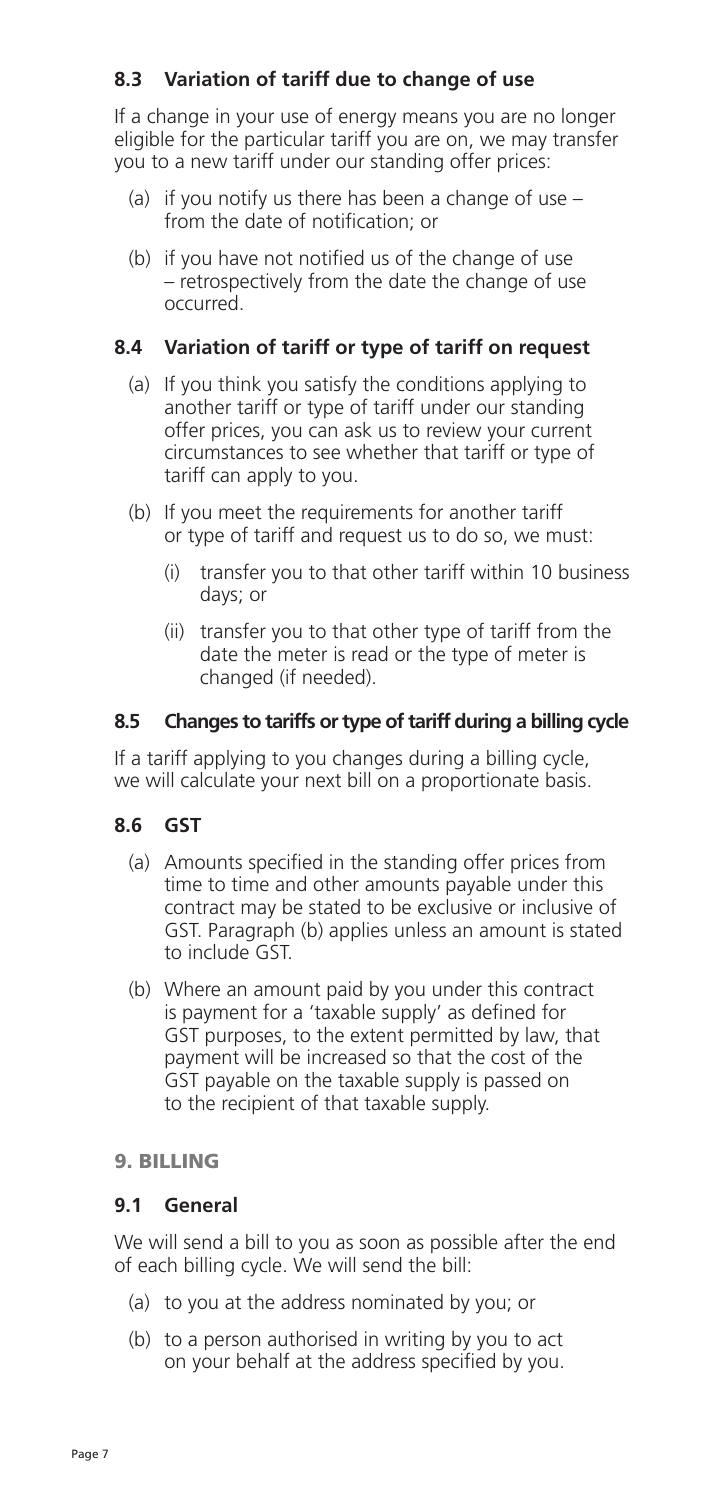## **8.3 Variation of tariff due to change of use**

 If a change in your use of energy means you are no longer eligible for the particular tariff you are on, we may transfer you to a new tariff under our standing offer prices:

- (a) if you notify us there has been a change of use  $$ from the date of notification; or
- (b) if you have not notified us of the change of use – retrospectively from the date the change of use occurred.

## **8.4 Variation of tariff or type of tariff on request**

- (a) If you think you satisfy the conditions applying to another tariff or type of tariff under our standing offer prices, you can ask us to review your current circumstances to see whether that tariff or type of tariff can apply to you.
- (b) If you meet the requirements for another tariff or type of tariff and request us to do so, we must:
	- (i) transfer you to that other tariff within 10 business days; or
	- (ii) transfer you to that other type of tariff from the date the meter is read or the type of meter is changed (if needed).

## **8.5 Changes to tariffs or type of tariff during a billing cycle**

 If a tariff applying to you changes during a billing cycle, we will calculate your next bill on a proportionate basis.

## **8.6 GST**

- (a) Amounts specified in the standing offer prices from time to time and other amounts payable under this contract may be stated to be exclusive or inclusive of GST. Paragraph (b) applies unless an amount is stated to include GST.
- (b) Where an amount paid by you under this contract is payment for a 'taxable supply' as defined for GST purposes, to the extent permitted by law, that payment will be increased so that the cost of the GST payable on the taxable supply is passed on to the recipient of that taxable supply.

#### 9. BILLING

#### **9.1 General**

 We will send a bill to you as soon as possible after the end of each billing cycle. We will send the bill:

- (a) to you at the address nominated by you; or
- (b) to a person authorised in writing by you to act on your behalf at the address specified by you.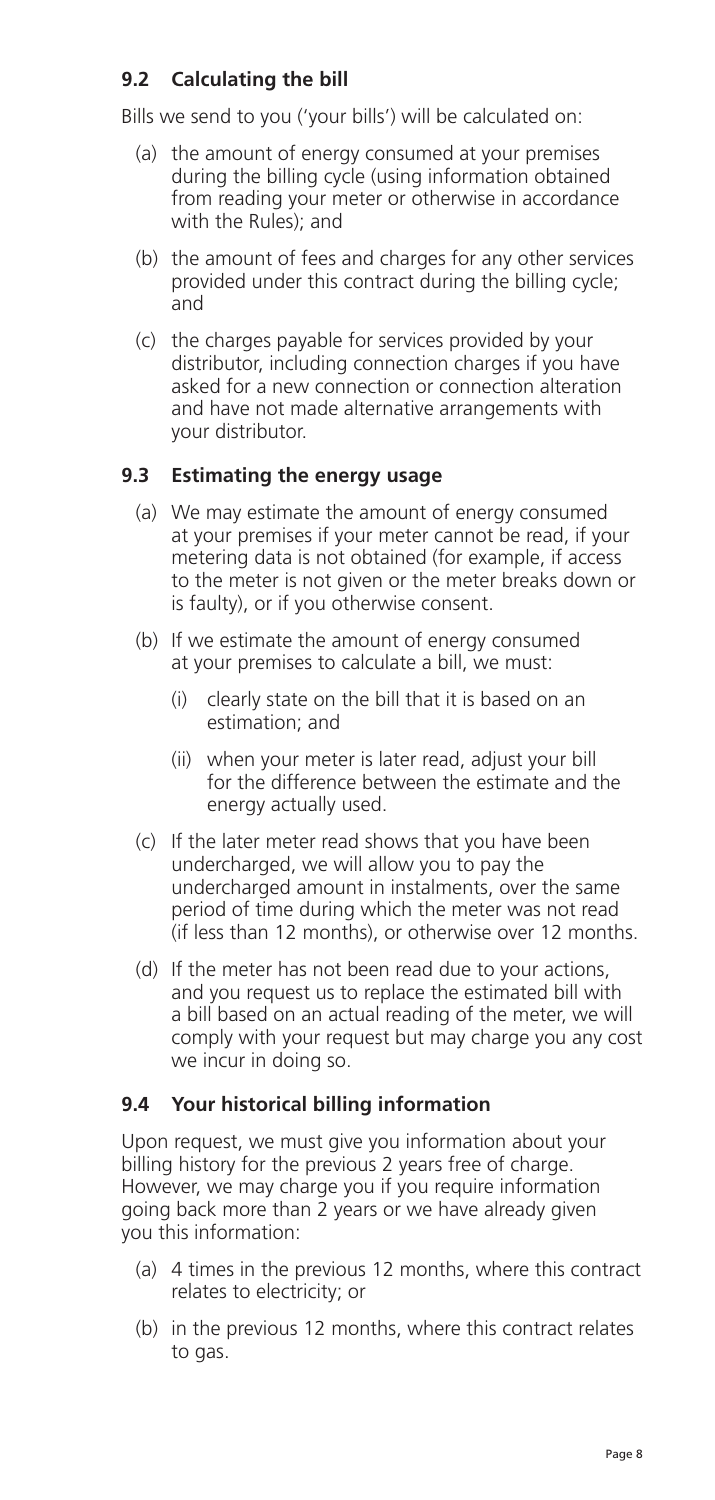## **9.2 Calculating the bill**

Bills we send to you ('your bills') will be calculated on:

- (a) the amount of energy consumed at your premises during the billing cycle (using information obtained from reading your meter or otherwise in accordance with the Rules); and
- (b) the amount of fees and charges for any other services provided under this contract during the billing cycle; and
- (c) the charges payable for services provided by your distributor, including connection charges if you have asked for a new connection or connection alteration and have not made alternative arrangements with your distributor.

## **9.3 Estimating the energy usage**

- (a) We may estimate the amount of energy consumed at your premises if your meter cannot be read, if your metering data is not obtained (for example, if access to the meter is not given or the meter breaks down or is faulty), or if you otherwise consent.
- (b) If we estimate the amount of energy consumed at your premises to calculate a bill, we must:
	- (i) clearly state on the bill that it is based on an estimation; and
	- (ii) when your meter is later read, adjust your bill for the difference between the estimate and the energy actually used.
- (c) If the later meter read shows that you have been undercharged, we will allow you to pay the undercharged amount in instalments, over the same period of time during which the meter was not read (if less than 12 months), or otherwise over 12 months.
- (d) If the meter has not been read due to your actions, and you request us to replace the estimated bill with a bill based on an actual reading of the meter, we will comply with your request but may charge you any cost we incur in doing so.

## **9.4 Your historical billing information**

 Upon request, we must give you information about your billing history for the previous 2 years free of charge. However, we may charge you if you require information going back more than 2 years or we have already given you this information:

- (a) 4 times in the previous 12 months, where this contract relates to electricity; or
- (b) in the previous 12 months, where this contract relates to gas.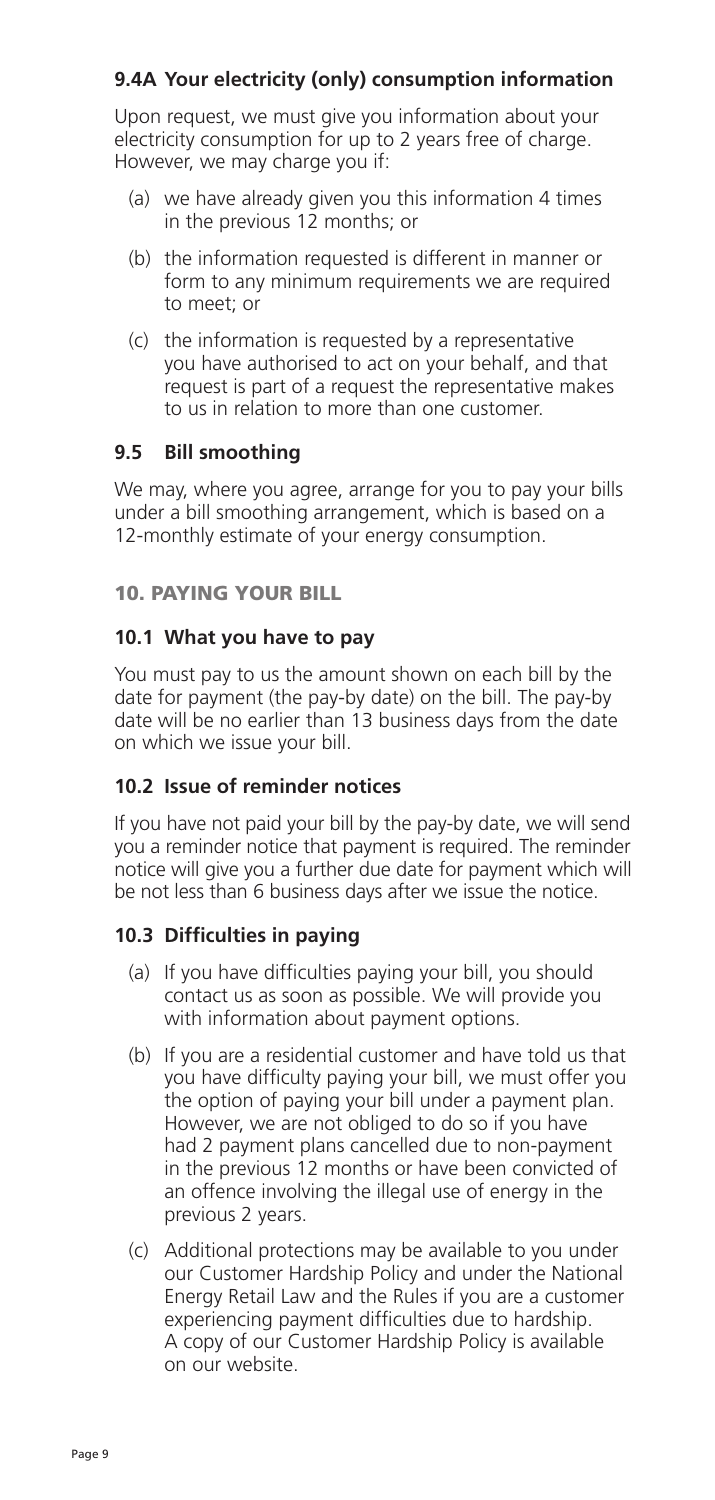## **9.4A Your electricity (only) consumption information**

 Upon request, we must give you information about your electricity consumption for up to 2 years free of charge. However, we may charge you if:

- (a) we have already given you this information 4 times in the previous 12 months; or
- (b) the information requested is different in manner or form to any minimum requirements we are required to meet; or
- (c) the information is requested by a representative you have authorised to act on your behalf, and that request is part of a request the representative makes to us in relation to more than one customer.

## **9.5 Bill smoothing**

 We may, where you agree, arrange for you to pay your bills under a bill smoothing arrangement, which is based on a 12-monthly estimate of your energy consumption.

## 10. PAYING YOUR BILL

## **10.1 What you have to pay**

 You must pay to us the amount shown on each bill by the date for payment (the pay-by date) on the bill. The pay-by date will be no earlier than 13 business days from the date on which we issue your bill.

## **10.2 Issue of reminder notices**

 If you have not paid your bill by the pay-by date, we will send you a reminder notice that payment is required. The reminder notice will give you a further due date for payment which will be not less than 6 business days after we issue the notice.

## **10.3 Difficulties in paying**

- (a) If you have difficulties paying your bill, you should contact us as soon as possible. We will provide you with information about payment options.
- (b) If you are a residential customer and have told us that you have difficulty paying your bill, we must offer you the option of paying your bill under a payment plan. However, we are not obliged to do so if you have had 2 payment plans cancelled due to non-payment in the previous 12 months or have been convicted of an offence involving the illegal use of energy in the previous 2 years.
- (c) Additional protections may be available to you under our Customer Hardship Policy and under the National Energy Retail Law and the Rules if you are a customer experiencing payment difficulties due to hardship. A copy of our Customer Hardship Policy is available on our website.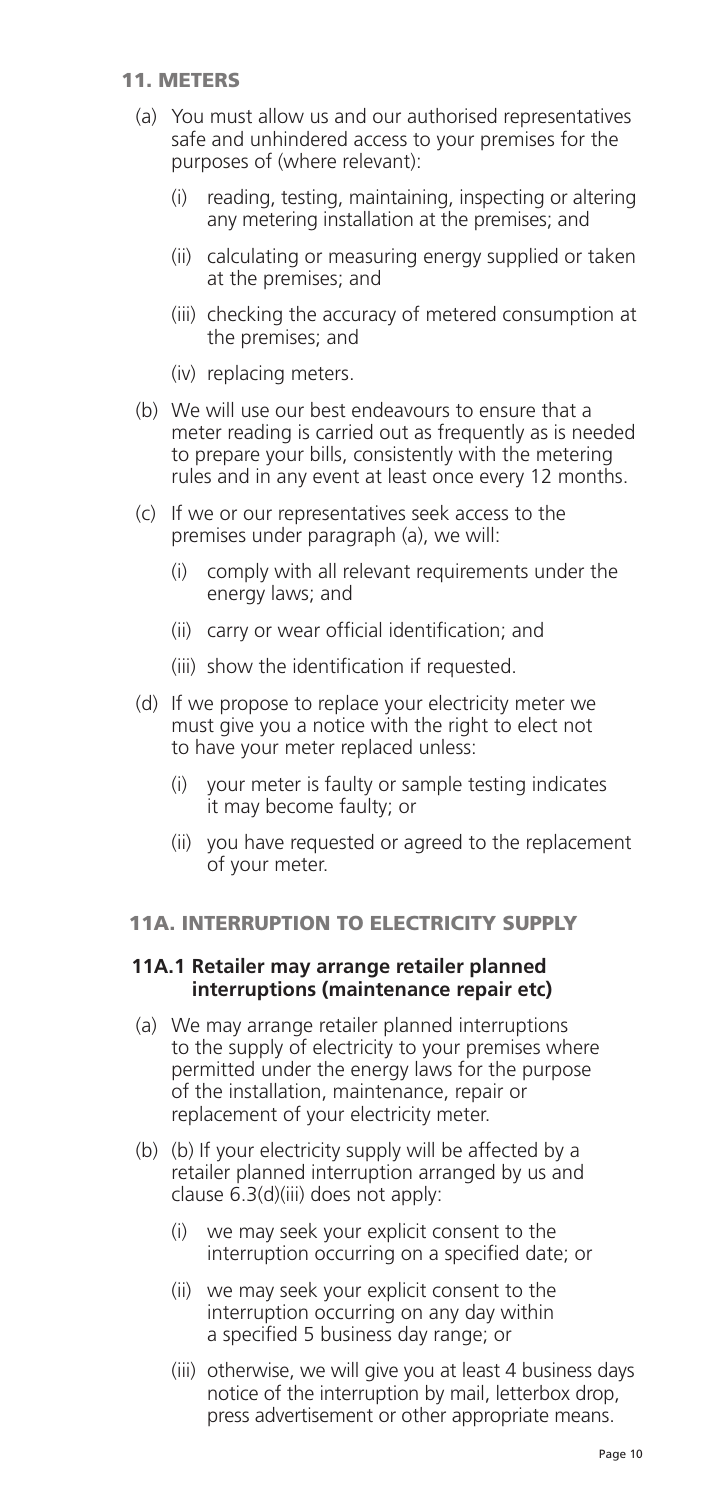#### 11. METERS

- (a) You must allow us and our authorised representatives safe and unhindered access to your premises for the purposes of (where relevant):
	- (i) reading, testing, maintaining, inspecting or altering any metering installation at the premises; and
	- (ii) calculating or measuring energy supplied or taken at the premises; and
	- (iii) checking the accuracy of metered consumption at the premises; and
	- (iv) replacing meters.
- (b) We will use our best endeavours to ensure that a meter reading is carried out as frequently as is needed to prepare your bills, consistently with the metering rules and in any event at least once every 12 months.
- (c) If we or our representatives seek access to the premises under paragraph (a), we will:
	- (i) comply with all relevant requirements under the energy laws; and
	- (ii) carry or wear official identification; and
	- (iii) show the identification if requested.
- (d) If we propose to replace your electricity meter we must give you a notice with the right to elect not to have your meter replaced unless:
	- (i) your meter is faulty or sample testing indicates it may become faulty; or
	- (ii) you have requested or agreed to the replacement of your meter.

#### 11A. INTERRUPTION TO ELECTRICITY SUPPLY

#### **11A.1 Retailer may arrange retailer planned interruptions (maintenance repair etc)**

- (a) We may arrange retailer planned interruptions to the supply of electricity to your premises where permitted under the energy laws for the purpose of the installation, maintenance, repair or replacement of your electricity meter.
- (b) (b) If your electricity supply will be affected by a retailer planned interruption arranged by us and clause 6.3(d)(iii) does not apply:
	- (i) we may seek your explicit consent to the interruption occurring on a specified date; or
	- (ii) we may seek your explicit consent to the interruption occurring on any day within a specified 5 business day range; or
	- (iii) otherwise, we will give you at least 4 business days notice of the interruption by mail, letterbox drop, press advertisement or other appropriate means.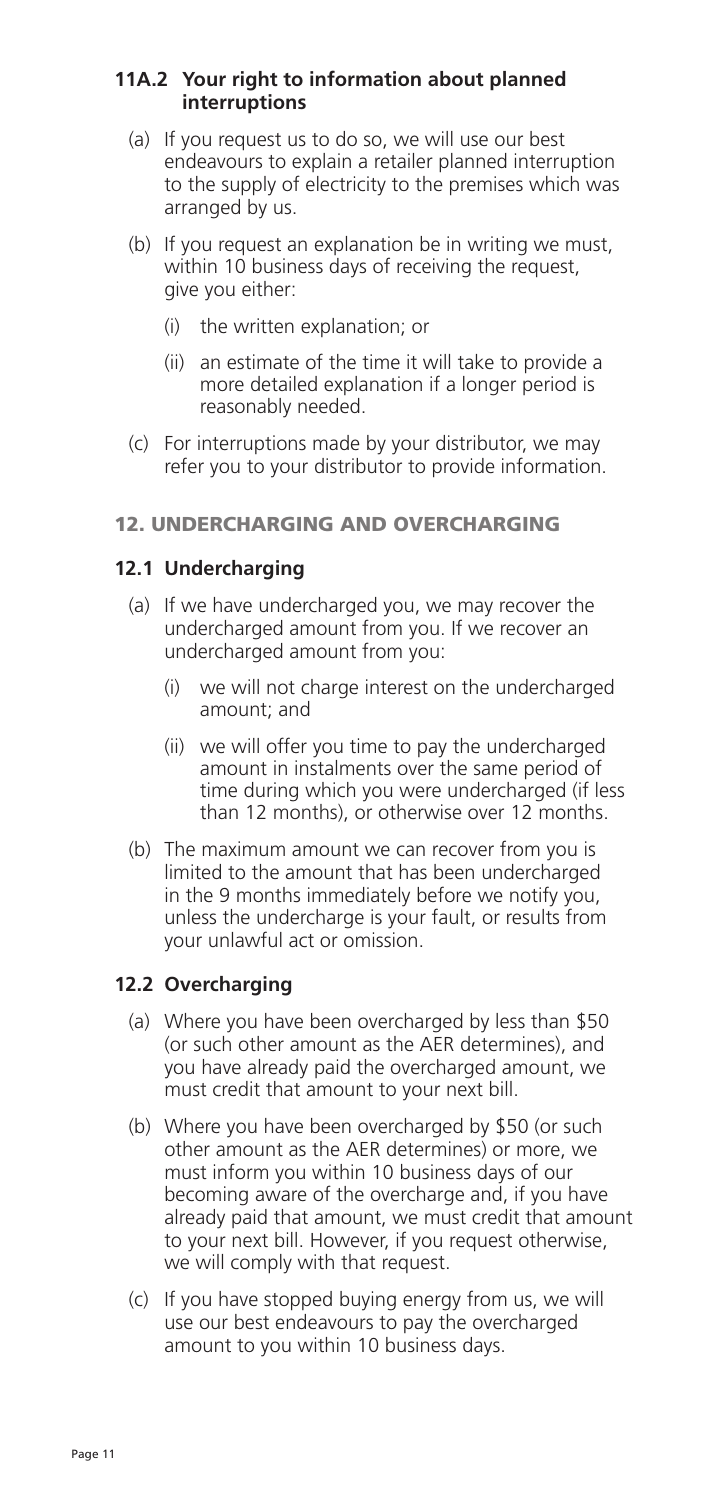### **11A.2 Your right to information about planned interruptions**

- (a) If you request us to do so, we will use our best endeavours to explain a retailer planned interruption to the supply of electricity to the premises which was arranged by us.
- (b) If you request an explanation be in writing we must, within 10 business days of receiving the request, give you either:
	- (i) the written explanation; or
	- (ii) an estimate of the time it will take to provide a more detailed explanation if a longer period is reasonably needed.
- (c) For interruptions made by your distributor, we may refer you to your distributor to provide information.

## 12. UNDERCHARGING AND OVERCHARGING

## **12.1 Undercharging**

- (a) If we have undercharged you, we may recover the undercharged amount from you. If we recover an undercharged amount from you:
	- (i) we will not charge interest on the undercharged amount; and
	- (ii) we will offer you time to pay the undercharged amount in instalments over the same period of time during which you were undercharged (if less than 12 months), or otherwise over 12 months.
- (b) The maximum amount we can recover from you is limited to the amount that has been undercharged in the 9 months immediately before we notify you, unless the undercharge is your fault, or results from your unlawful act or omission.

## **12.2 Overcharging**

- (a) Where you have been overcharged by less than \$50 (or such other amount as the AER determines), and you have already paid the overcharged amount, we must credit that amount to your next bill.
- (b) Where you have been overcharged by \$50 (or such other amount as the AER determines) or more, we must inform you within 10 business days of our becoming aware of the overcharge and, if you have already paid that amount, we must credit that amount to your next bill. However, if you request otherwise, we will comply with that request.
- (c) If you have stopped buying energy from us, we will use our best endeavours to pay the overcharged amount to you within 10 business days.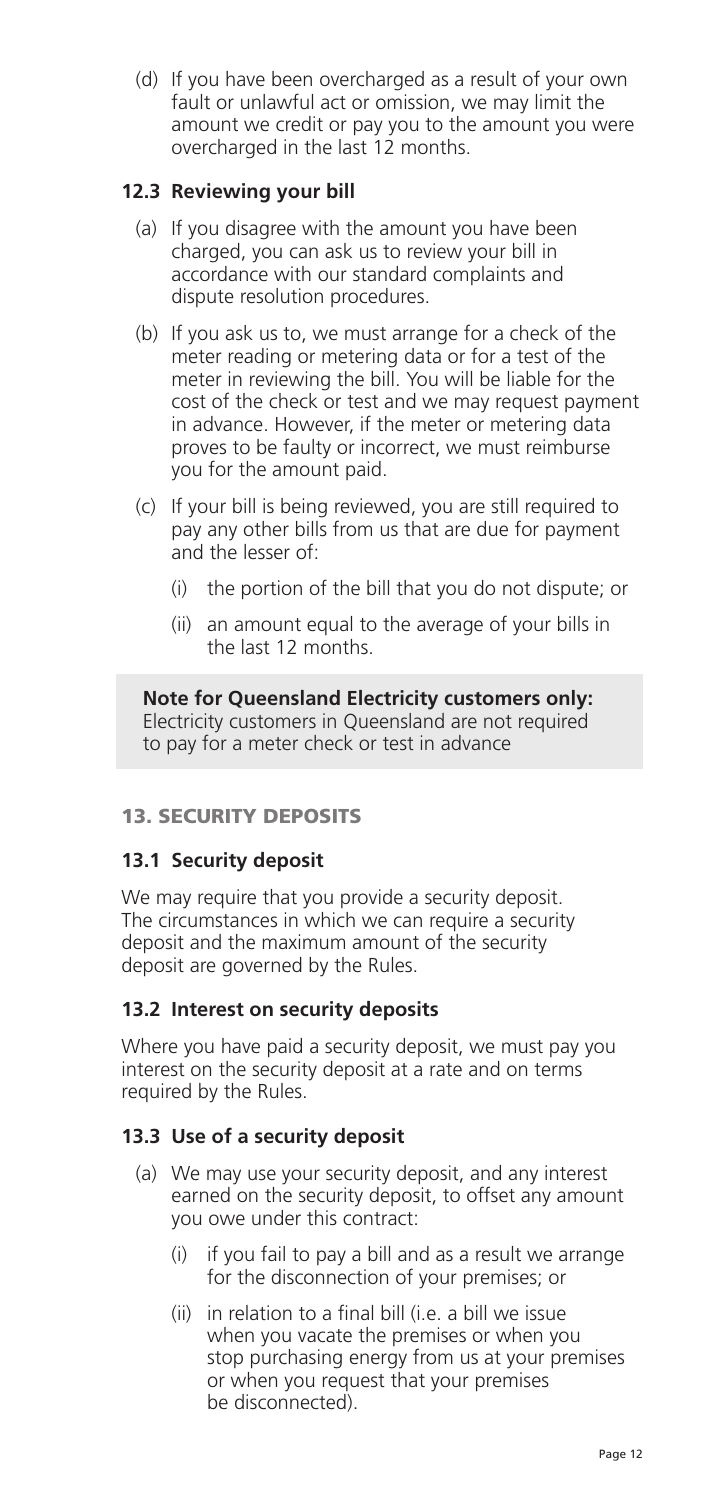(d) If you have been overcharged as a result of your own fault or unlawful act or omission, we may limit the amount we credit or pay you to the amount you were overcharged in the last 12 months.

## **12.3 Reviewing your bill**

- (a) If you disagree with the amount you have been charged, you can ask us to review your bill in accordance with our standard complaints and dispute resolution procedures.
- (b) If you ask us to, we must arrange for a check of the meter reading or metering data or for a test of the meter in reviewing the bill. You will be liable for the cost of the check or test and we may request payment in advance. However, if the meter or metering data proves to be faulty or incorrect, we must reimburse you for the amount paid.
- (c) If your bill is being reviewed, you are still required to pay any other bills from us that are due for payment and the lesser of:
	- (i) the portion of the bill that you do not dispute; or
	- (ii) an amount equal to the average of your bills in the last 12 months.

**Note for Queensland Electricity customers only:**  Electricity customers in Queensland are not required to pay for a meter check or test in advance

## 13. SECURITY DEPOSITS

## **13.1 Security deposit**

We may require that you provide a security deposit. The circumstances in which we can require a security deposit and the maximum amount of the security deposit are governed by the Rules.

## **13.2 Interest on security deposits**

 Where you have paid a security deposit, we must pay you interest on the security deposit at a rate and on terms required by the Rules.

## **13.3 Use of a security deposit**

- (a) We may use your security deposit, and any interest earned on the security deposit, to offset any amount you owe under this contract:
	- (i) if you fail to pay a bill and as a result we arrange for the disconnection of your premises; or
	- (ii) in relation to a final bill (i.e. a bill we issue when you vacate the premises or when you stop purchasing energy from us at your premises or when you request that your premises be disconnected).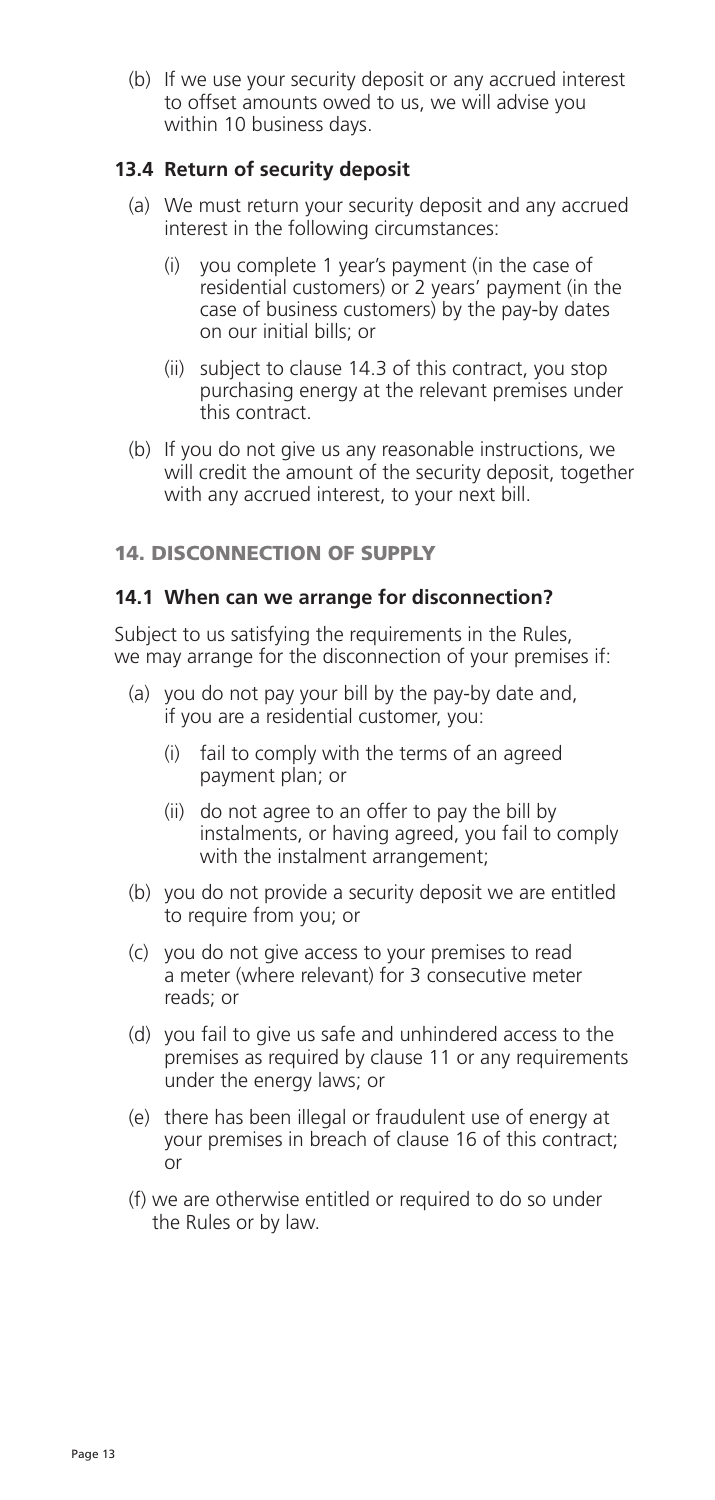(b) If we use your security deposit or any accrued interest to offset amounts owed to us, we will advise you within 10 business days.

## **13.4 Return of security deposit**

- (a) We must return your security deposit and any accrued interest in the following circumstances:
	- (i) you complete 1 year's payment (in the case of residential customers) or 2 years' payment (in the case of business customers) by the pay-by dates on our initial bills; or
	- (ii) subject to clause 14.3 of this contract, you stop purchasing energy at the relevant premises under this contract.
- (b) If you do not give us any reasonable instructions, we will credit the amount of the security deposit, together with any accrued interest, to your next bill.

## 14. DISCONNECTION OF SUPPLY

#### **14.1 When can we arrange for disconnection?**

Subject to us satisfying the requirements in the Rules. we may arrange for the disconnection of your premises if:

- (a) you do not pay your bill by the pay-by date and, if you are a residential customer, you:
	- (i) fail to comply with the terms of an agreed payment plan; or
	- (ii) do not agree to an offer to pay the bill by instalments, or having agreed, you fail to comply with the instalment arrangement;
- (b) you do not provide a security deposit we are entitled to require from you; or
- (c) you do not give access to your premises to read a meter (where relevant) for 3 consecutive meter reads; or
- (d) you fail to give us safe and unhindered access to the premises as required by clause 11 or any requirements under the energy laws; or
- (e) there has been illegal or fraudulent use of energy at your premises in breach of clause 16 of this contract; or
- (f) we are otherwise entitled or required to do so under the Rules or by law.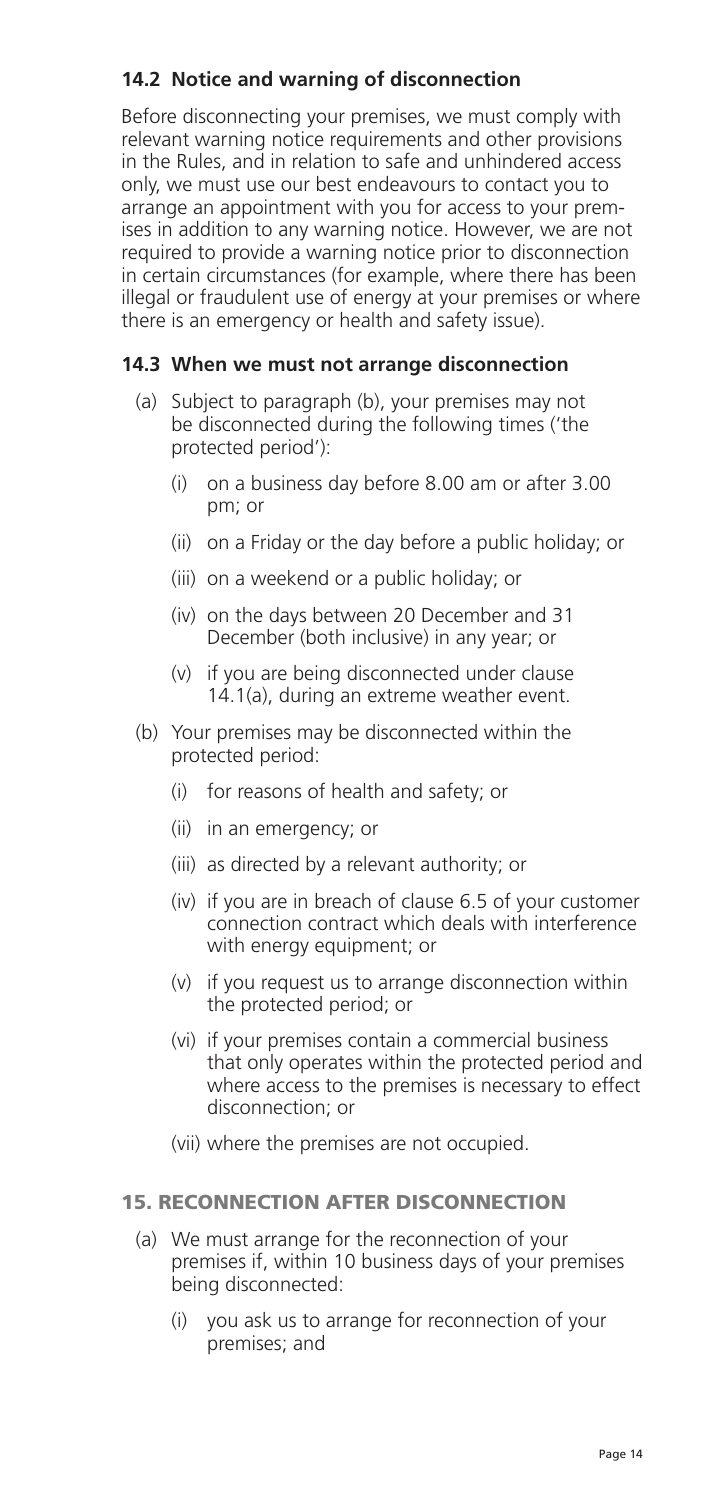## **14.2 Notice and warning of disconnection**

 Before disconnecting your premises, we must comply with relevant warning notice requirements and other provisions in the Rules, and in relation to safe and unhindered access only, we must use our best endeavours to contact you to arrange an appointment with you for access to your premises in addition to any warning notice. However, we are not required to provide a warning notice prior to disconnection in certain circumstances (for example, where there has been illegal or fraudulent use of energy at your premises or where there is an emergency or health and safety issue).

## **14.3 When we must not arrange disconnection**

- (a) Subject to paragraph (b), your premises may not be disconnected during the following times ('the protected period'):
	- (i) on a business day before 8.00 am or after 3.00 pm; or
	- (ii) on a Friday or the day before a public holiday; or
	- (iii) on a weekend or a public holiday; or
	- (iv) on the days between 20 December and 31 December (both inclusive) in any year; or
	- (v) if you are being disconnected under clause 14.1(a), during an extreme weather event.
- (b) Your premises may be disconnected within the protected period:
	- (i) for reasons of health and safety; or
	- (ii) in an emergency; or
	- (iii) as directed by a relevant authority; or
	- (iv) if you are in breach of clause 6.5 of your customer connection contract which deals with interference with energy equipment; or
	- (v) if you request us to arrange disconnection within the protected period; or
	- (vi) if your premises contain a commercial business that only operates within the protected period and where access to the premises is necessary to effect disconnection; or
	- (vii) where the premises are not occupied.

#### 15. RECONNECTION AFTER DISCONNECTION

- (a) We must arrange for the reconnection of your premises if, within 10 business days of your premises being disconnected:
	- (i) you ask us to arrange for reconnection of your premises; and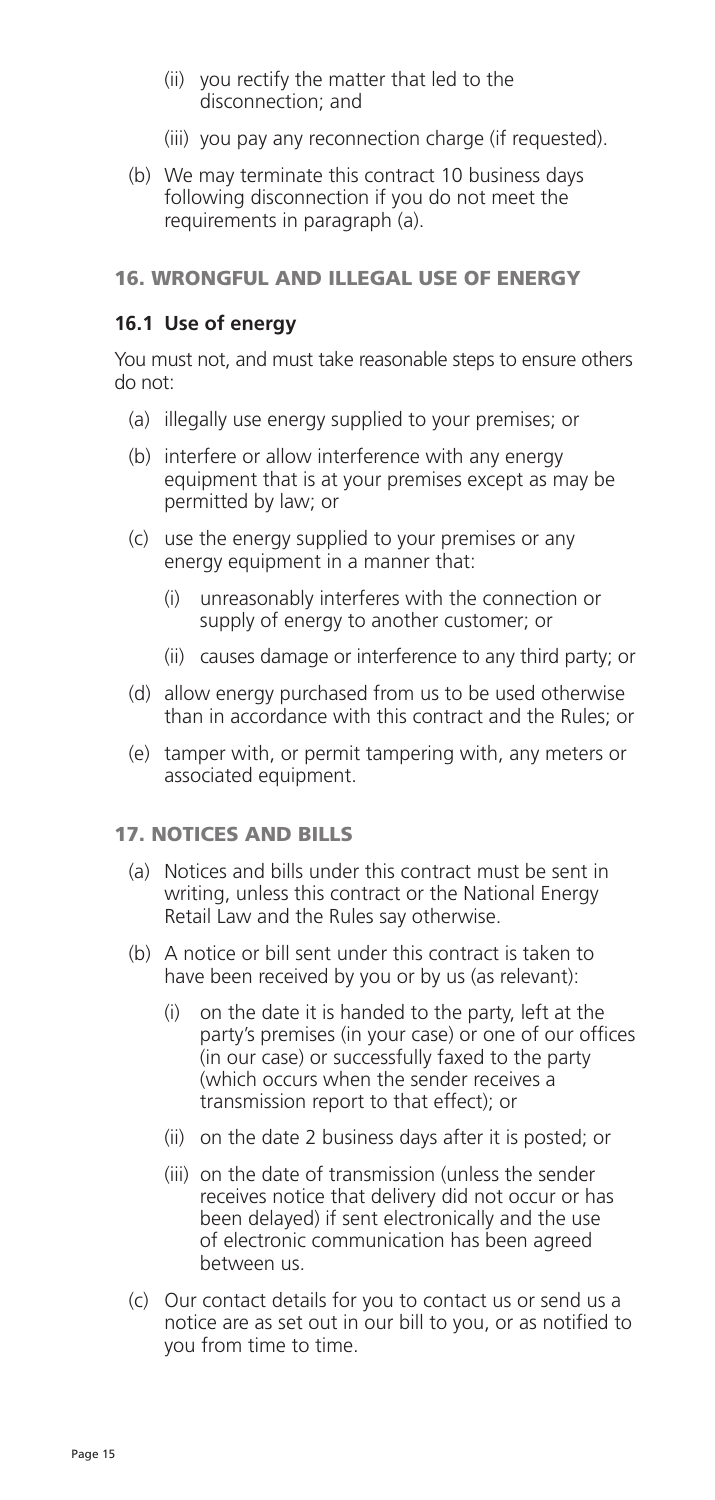- (ii) you rectify the matter that led to the disconnection; and
- (iii) you pay any reconnection charge (if requested).
- (b) We may terminate this contract 10 business days following disconnection if you do not meet the requirements in paragraph (a).

## 16. WRONGFUL AND ILLEGAL USE OF ENERGY

## **16.1 Use of energy**

 You must not, and must take reasonable steps to ensure others do not:

- (a) illegally use energy supplied to your premises; or
- (b) interfere or allow interference with any energy equipment that is at your premises except as may be permitted by law; or
- (c) use the energy supplied to your premises or any energy equipment in a manner that:
	- (i) unreasonably interferes with the connection or supply of energy to another customer; or
	- (ii) causes damage or interference to any third party; or
- (d) allow energy purchased from us to be used otherwise than in accordance with this contract and the Rules; or
- (e) tamper with, or permit tampering with, any meters or associated equipment.

## 17. NOTICES AND BILLS

- (a) Notices and bills under this contract must be sent in writing, unless this contract or the National Energy Retail Law and the Rules say otherwise.
- (b) A notice or bill sent under this contract is taken to have been received by you or by us (as relevant):
	- (i) on the date it is handed to the party, left at the party's premises (in your case) or one of our offices (in our case) or successfully faxed to the party (which occurs when the sender receives a transmission report to that effect); or
	- (ii) on the date 2 business days after it is posted; or
	- (iii) on the date of transmission (unless the sender receives notice that delivery did not occur or has been delayed) if sent electronically and the use of electronic communication has been agreed between us.
- (c) Our contact details for you to contact us or send us a notice are as set out in our bill to you, or as notified to you from time to time.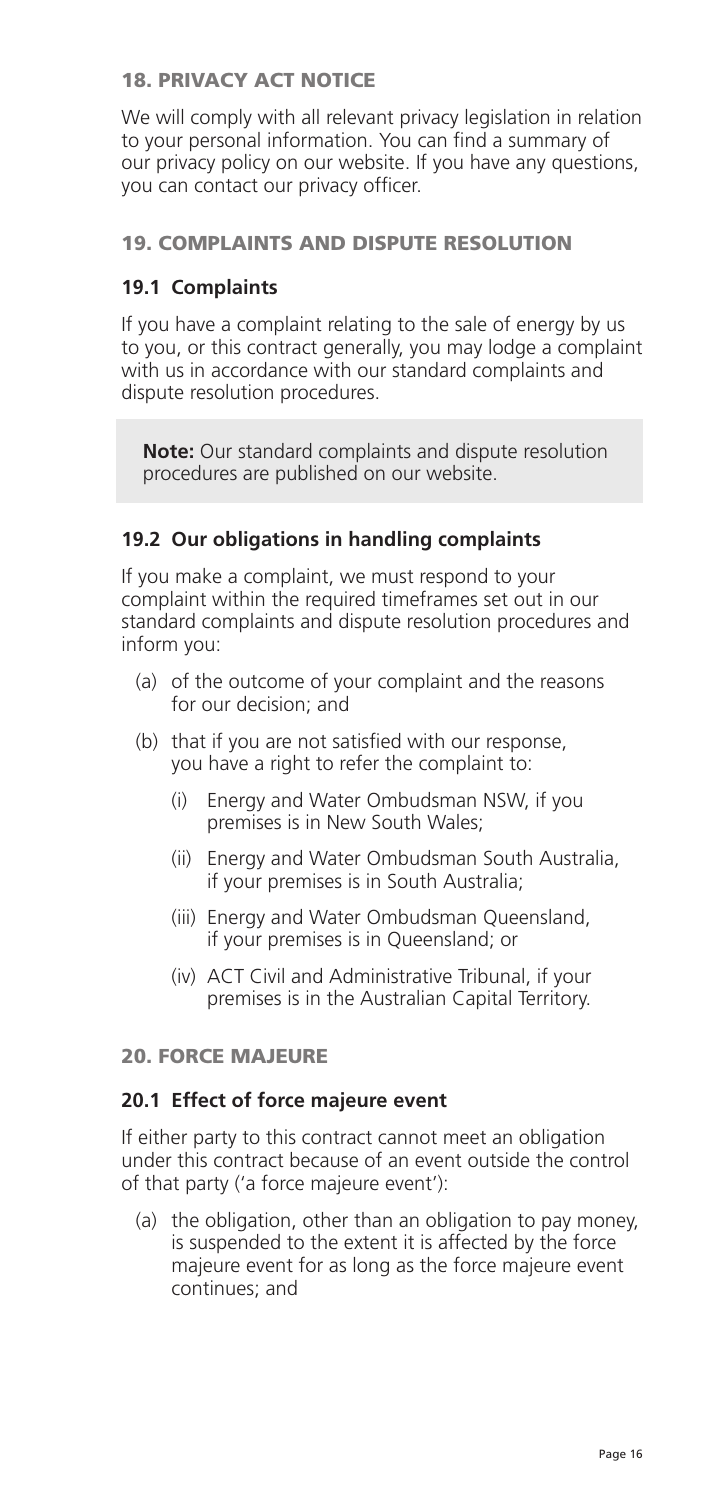## 18. PRIVACY ACT NOTICE

 We will comply with all relevant privacy legislation in relation to your personal information. You can find a summary of our privacy policy on our website. If you have any questions, you can contact our privacy officer.

## 19. COMPLAINTS AND DISPUTE RESOLUTION

## **19.1 Complaints**

 If you have a complaint relating to the sale of energy by us to you, or this contract generally, you may lodge a complaint with us in accordance with our standard complaints and dispute resolution procedures.

**Note:** Our standard complaints and dispute resolution procedures are published on our website.

## **19.2 Our obligations in handling complaints**

 If you make a complaint, we must respond to your complaint within the required timeframes set out in our standard complaints and dispute resolution procedures and inform you:

- (a) of the outcome of your complaint and the reasons for our decision; and
- (b) that if you are not satisfied with our response, you have a right to refer the complaint to:
	- (i) Energy and Water Ombudsman NSW, if you premises is in New South Wales;
	- (ii) Energy and Water Ombudsman South Australia, if your premises is in South Australia;
	- (iii) Energy and Water Ombudsman Queensland, if your premises is in Queensland; or
	- (iv) ACT Civil and Administrative Tribunal, if your premises is in the Australian Capital Territory.

## 20. FORCE MAJEURE

#### **20.1 Effect of force majeure event**

 If either party to this contract cannot meet an obligation under this contract because of an event outside the control of that party ('a force majeure event'):

(a) the obligation, other than an obligation to pay money, is suspended to the extent it is affected by the force majeure event for as long as the force majeure event continues; and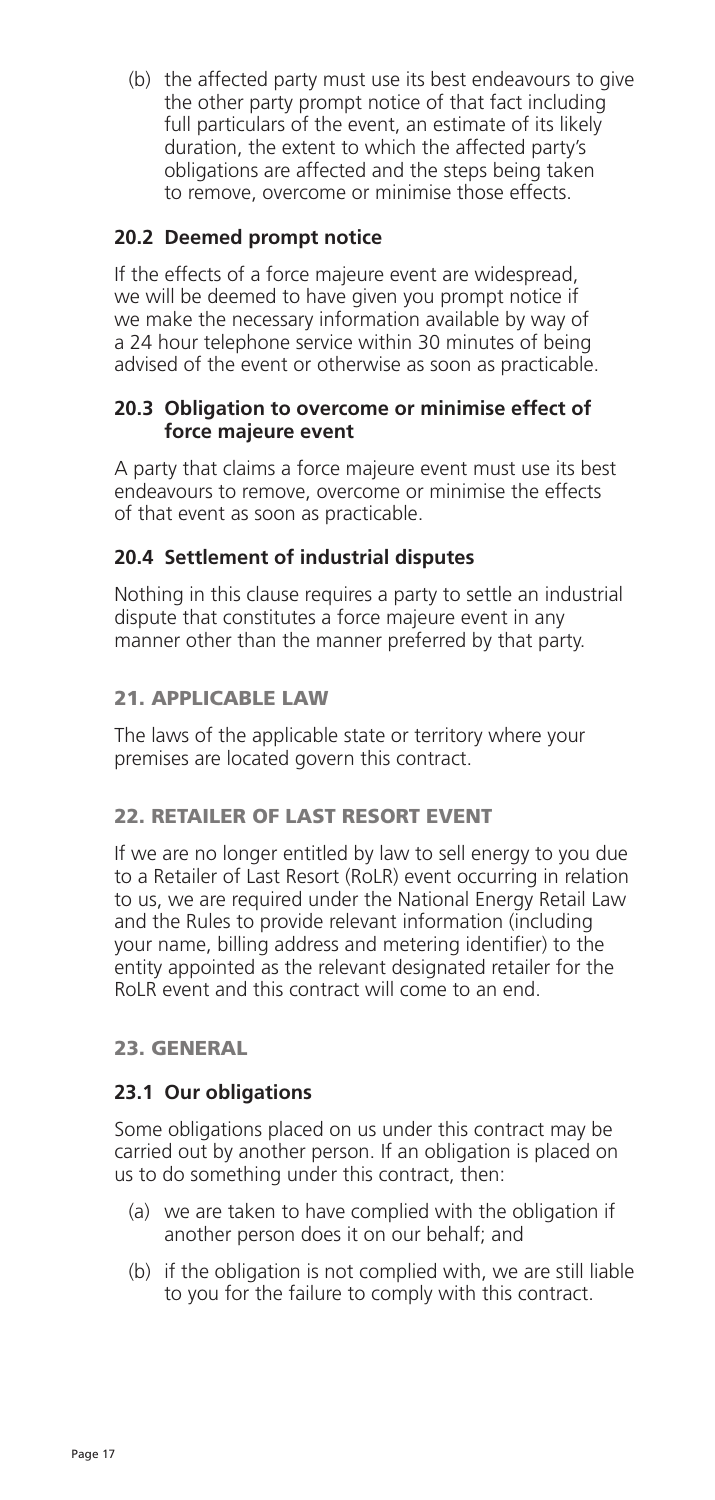(b) the affected party must use its best endeavours to give the other party prompt notice of that fact including full particulars of the event, an estimate of its likely duration, the extent to which the affected party's obligations are affected and the steps being taken to remove, overcome or minimise those effects.

## **20.2 Deemed prompt notice**

 If the effects of a force majeure event are widespread, we will be deemed to have given you prompt notice if we make the necessary information available by way of a 24 hour telephone service within 30 minutes of being advised of the event or otherwise as soon as practicable.

## **20.3 Obligation to overcome or minimise effect of force majeure event**

 A party that claims a force majeure event must use its best endeavours to remove, overcome or minimise the effects of that event as soon as practicable.

## **20.4 Settlement of industrial disputes**

 Nothing in this clause requires a party to settle an industrial dispute that constitutes a force majeure event in any manner other than the manner preferred by that party.

## 21. APPLICABLE LAW

 The laws of the applicable state or territory where your premises are located govern this contract.

## 22. RETAILER OF LAST RESORT EVENT

 If we are no longer entitled by law to sell energy to you due to a Retailer of Last Resort (RoLR) event occurring in relation to us, we are required under the National Energy Retail Law and the Rules to provide relevant information (including your name, billing address and metering identifier) to the entity appointed as the relevant designated retailer for the RoLR event and this contract will come to an end.

## 23. GENERAL

## **23.1 Our obligations**

 Some obligations placed on us under this contract may be carried out by another person. If an obligation is placed on us to do something under this contract, then:

- (a) we are taken to have complied with the obligation if another person does it on our behalf; and
- (b) if the obligation is not complied with, we are still liable to you for the failure to comply with this contract.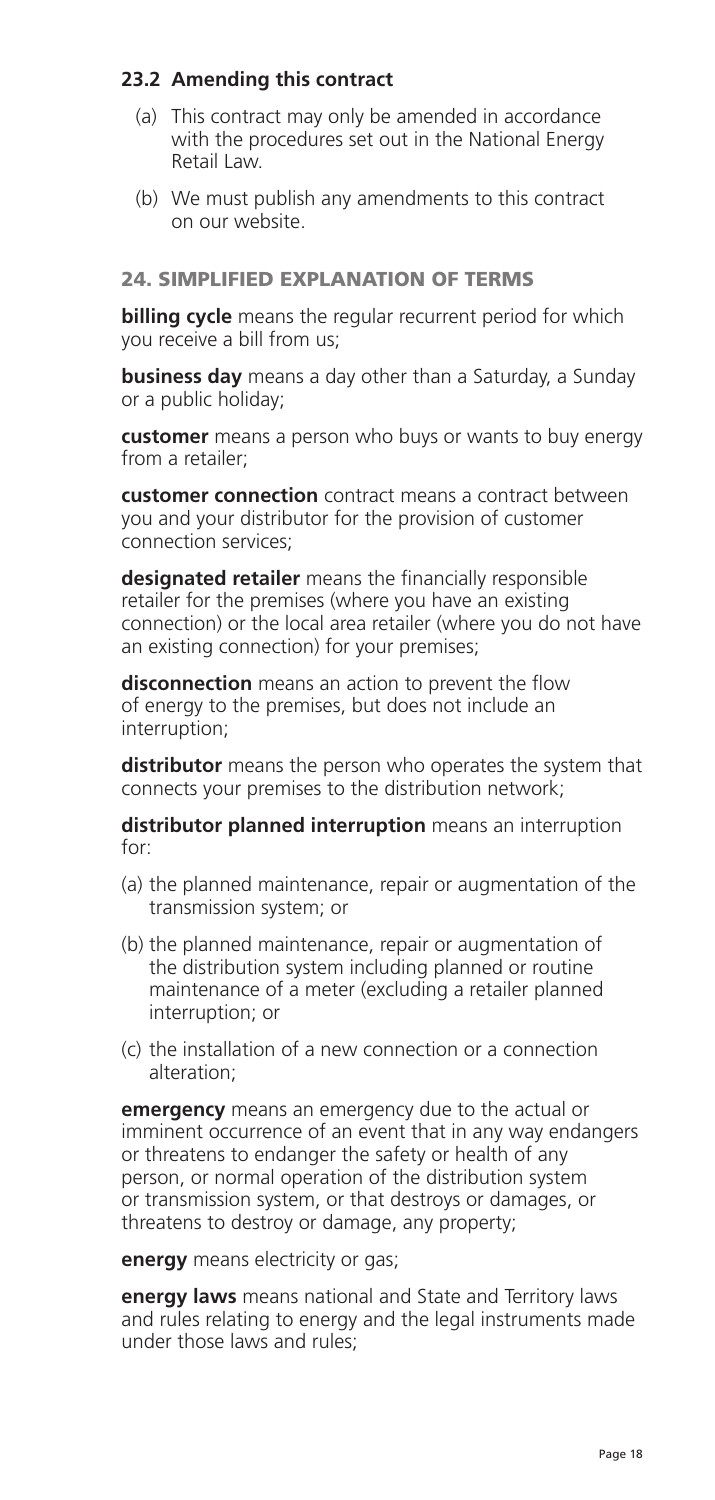## **23.2 Amending this contract**

- (a) This contract may only be amended in accordance with the procedures set out in the National Energy Retail Law.
- (b) We must publish any amendments to this contract on our website.

## 24. SIMPLIFIED EXPLANATION OF TERMS

**billing cycle** means the regular recurrent period for which you receive a bill from us;

 **business day** means a day other than a Saturday, a Sunday or a public holiday;

**customer** means a person who buys or wants to buy energy from a retailer;

 **customer connection** contract means a contract between you and your distributor for the provision of customer connection services;

 **designated retailer** means the financially responsible retailer for the premises (where you have an existing connection) or the local area retailer (where you do not have an existing connection) for your premises;

**disconnection** means an action to prevent the flow of energy to the premises, but does not include an interruption;

**distributor** means the person who operates the system that connects your premises to the distribution network;

 **distributor planned interruption** means an interruption  $for$ 

- (a) the planned maintenance, repair or augmentation of the transmission system; or
- (b) the planned maintenance, repair or augmentation of the distribution system including planned or routine maintenance of a meter (excluding a retailer planned interruption; or
- (c) the installation of a new connection or a connection alteration;

**emergency** means an emergency due to the actual or imminent occurrence of an event that in any way endangers or threatens to endanger the safety or health of any person, or normal operation of the distribution system or transmission system, or that destroys or damages, or threatens to destroy or damage, any property;

**energy** means electricity or gas;

 **energy laws** means national and State and Territory laws and rules relating to energy and the legal instruments made under those laws and rules;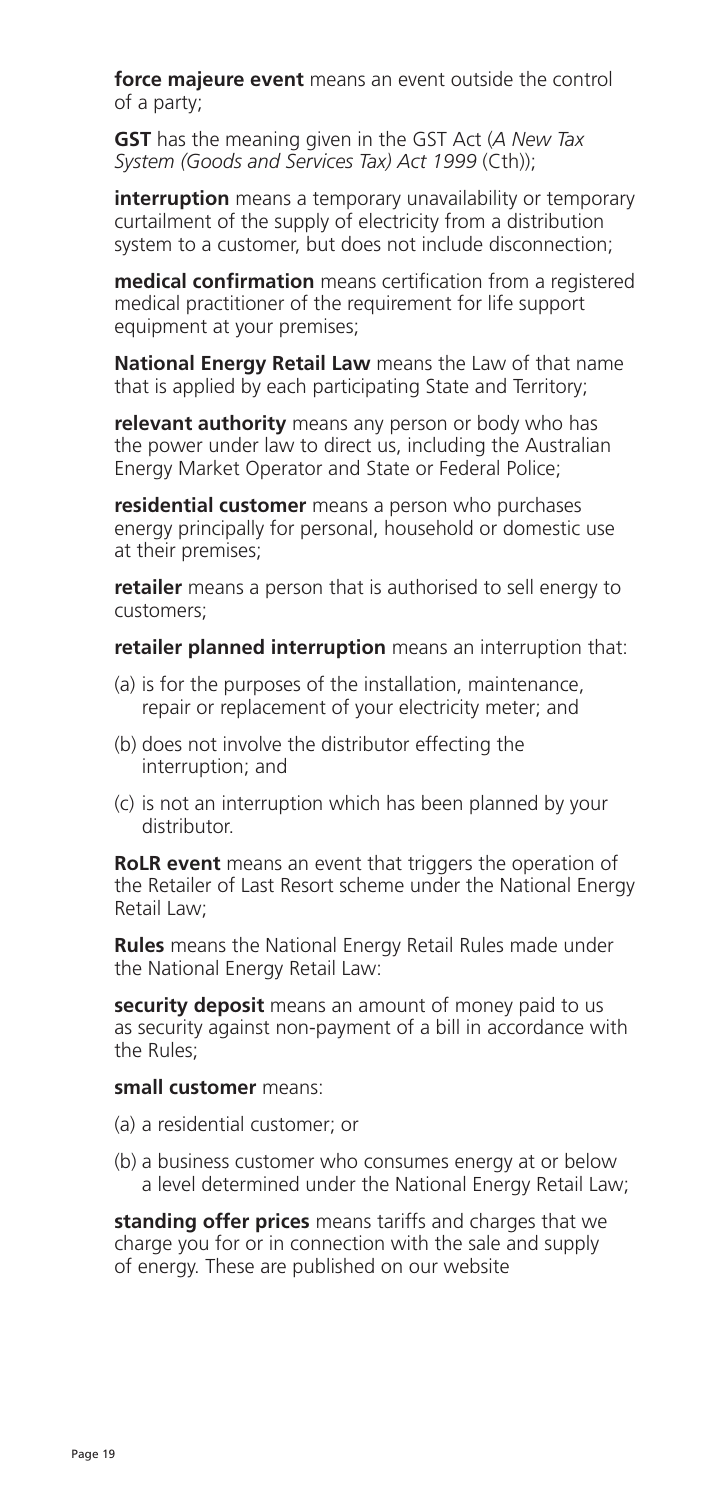**force majeure event** means an event outside the control of a party;

**GST** has the meaning given in the GST Act (*A New Tax System (Goods and Services Tax) Act 1999* (Cth));

**interruption** means a temporary unavailability or temporary curtailment of the supply of electricity from a distribution system to a customer, but does not include disconnection;

 **medical confirmation** means certification from a registered medical practitioner of the requirement for life support equipment at your premises;

 **National Energy Retail Law** means the Law of that name that is applied by each participating State and Territory;

 **relevant authority** means any person or body who has the power under law to direct us, including the Australian Energy Market Operator and State or Federal Police;

 **residential customer** means a person who purchases energy principally for personal, household or domestic use at their premises;

**retailer** means a person that is authorised to sell energy to customers;

**retailer planned interruption** means an interruption that:

- (a) is for the purposes of the installation, maintenance, repair or replacement of your electricity meter; and
- (b) does not involve the distributor effecting the interruption; and
- (c) is not an interruption which has been planned by your distributor.

 **RoLR event** means an event that triggers the operation of the Retailer of Last Resort scheme under the National Energy Retail Law;

**Rules** means the National Energy Retail Rules made under the National Energy Retail Law:

 **security deposit** means an amount of money paid to us as security against non-payment of a bill in accordance with the Rules;

#### **small customer** means:

- (a) a residential customer; or
- (b) a business customer who consumes energy at or below a level determined under the National Energy Retail Law;

 **standing offer prices** means tariffs and charges that we charge you for or in connection with the sale and supply of energy. These are published on our website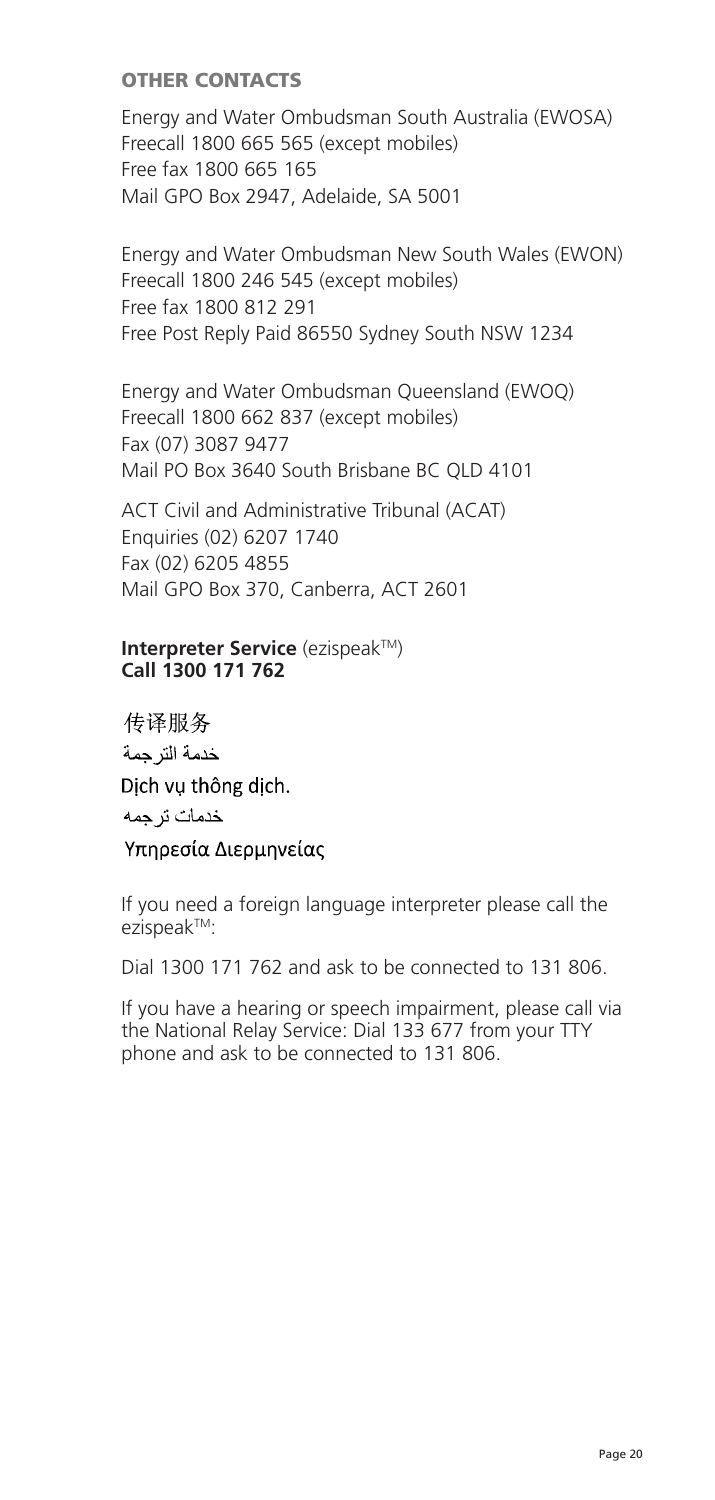## OTHER CONTACTS

Energy and Water Ombudsman South Australia (EWOSA) Freecall 1800 665 565 (except mobiles) Free fax 1800 665 165 rree rax 1800 005 105<br>Mail GPO Box 2947, Adelaide, SA 5001

Energy and Water Ombudsman New South Wales (EWON) Endry, and tracer ombaddman new be riccean 1888 248 343 (except mo Free Post Reply Paid 86550 Sydney South NSW 1234

Energy and Water Ombudsman Queensland (EWOQ) Freecall 1800 662 837 (except mobiles) Fax (07) 3087 9477 Mail PO Box 3640 South Brisbane BC QLD 4101 Ericity and watch Ombudsman Queensiand (t

ACT Civil and Administrative Tribunal (ACAT) Enquiries (02) 6207 1740  $F_{\text{A}}(02)$  6205 4855 Mail GPO Box 370, Canberra, ACT 2601  $\frac{1}{2}$ End (02) 0207 4055

#### **Interpreter Service** (ezispeak™) **Call 1300 171 762 Call 1300 171 762**

传译服务 خدمة التر حمة Dich vu thông dịch. خدمات تر جمه Υπηρεσία Διερμηνείας

If you need a foreign language interpreter please call the ezispeakTM: Exispean dial 1300 171 806.

Dial 1300 171 762 and ask to be connected to 131 806.

If you have a hearing or speech impairment, please call via the National Relay Service: Dial 133 677 from your TTY phone and ask to be connected to 131 806.